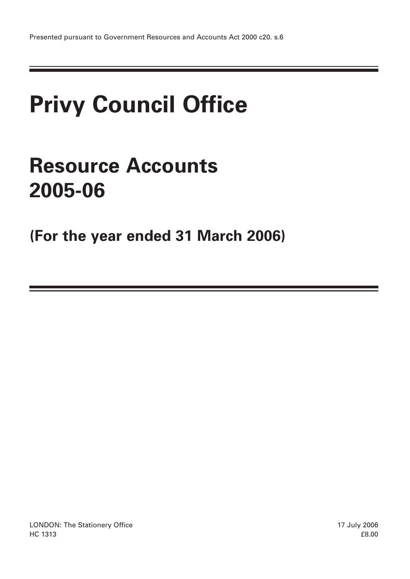# **Privy Council Office**

# **Resource Accounts 2005-06**

**(For the year ended 31 March 2006)**

LONDON: The Stationery Office 17 July 2006  $H$ C 1313  $68.00$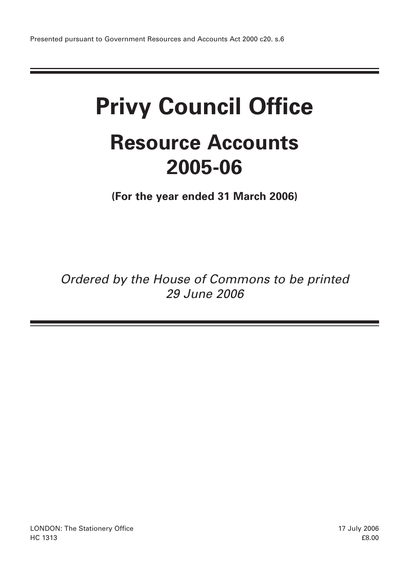# **Privy Council Office Resource Accounts 2005-06**

**(For the year ended 31 March 2006)**

Ordered by the House of Commons to be printed 29 June 2006

LONDON: The Stationery Office 17 July 2006  $H$ C 1313  $68.00$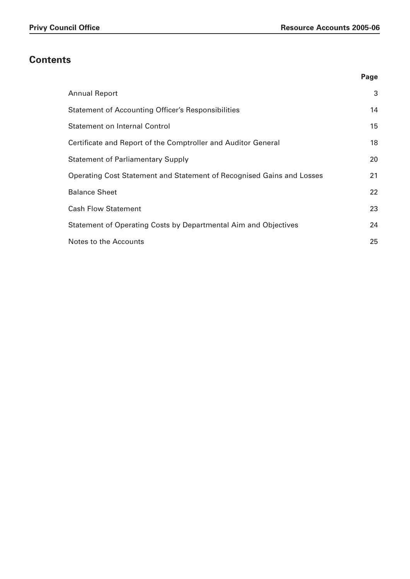# **Contents**

|                                                                       | Page |
|-----------------------------------------------------------------------|------|
| <b>Annual Report</b>                                                  | 3    |
| <b>Statement of Accounting Officer's Responsibilities</b>             | 14   |
| <b>Statement on Internal Control</b>                                  | 15   |
| Certificate and Report of the Comptroller and Auditor General         | 18   |
| <b>Statement of Parliamentary Supply</b>                              | 20   |
| Operating Cost Statement and Statement of Recognised Gains and Losses | 21   |
| <b>Balance Sheet</b>                                                  | 22   |
| <b>Cash Flow Statement</b>                                            | 23   |
| Statement of Operating Costs by Departmental Aim and Objectives       | 24   |
| Notes to the Accounts                                                 | 25   |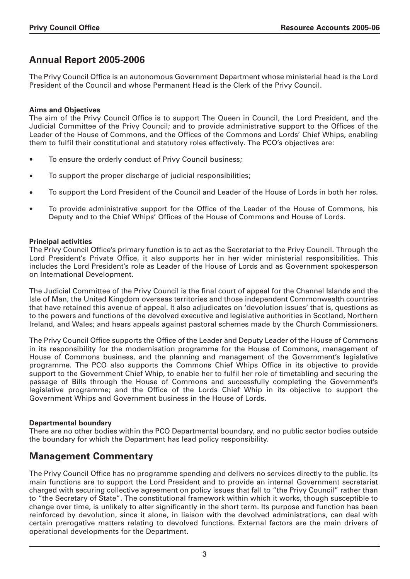# **Annual Report 2005-2006**

The Privy Council Office is an autonomous Government Department whose ministerial head is the Lord President of the Council and whose Permanent Head is the Clerk of the Privy Council.

# **Aims and Objectives**

The aim of the Privy Council Office is to support The Queen in Council, the Lord President, and the Judicial Committee of the Privy Council; and to provide administrative support to the Offices of the Leader of the House of Commons, and the Offices of the Commons and Lords' Chief Whips, enabling them to fulfil their constitutional and statutory roles effectively. The PCO's objectives are:

- To ensure the orderly conduct of Privy Council business;
- To support the proper discharge of judicial responsibilities;
- To support the Lord President of the Council and Leader of the House of Lords in both her roles.
- To provide administrative support for the Office of the Leader of the House of Commons, his Deputy and to the Chief Whips' Offices of the House of Commons and House of Lords.

# **Principal activities**

The Privy Council Office's primary function is to act as the Secretariat to the Privy Council. Through the Lord President's Private Office, it also supports her in her wider ministerial responsibilities. This includes the Lord President's role as Leader of the House of Lords and as Government spokesperson on International Development.

The Judicial Committee of the Privy Council is the final court of appeal for the Channel Islands and the Isle of Man, the United Kingdom overseas territories and those independent Commonwealth countries that have retained this avenue of appeal. It also adjudicates on 'devolution issues' that is, questions as to the powers and functions of the devolved executive and legislative authorities in Scotland, Northern Ireland, and Wales; and hears appeals against pastoral schemes made by the Church Commissioners.

The Privy Council Office supports the Office of the Leader and Deputy Leader of the House of Commons in its responsibility for the modernisation programme for the House of Commons, management of House of Commons business, and the planning and management of the Government's legislative programme. The PCO also supports the Commons Chief Whips Office in its objective to provide support to the Government Chief Whip, to enable her to fulfil her role of timetabling and securing the passage of Bills through the House of Commons and successfully completing the Government's legislative programme; and the Office of the Lords Chief Whip in its objective to support the Government Whips and Government business in the House of Lords.

# **Departmental boundary**

There are no other bodies within the PCO Departmental boundary, and no public sector bodies outside the boundary for which the Department has lead policy responsibility.

# **Management Commentary**

The Privy Council Office has no programme spending and delivers no services directly to the public. Its main functions are to support the Lord President and to provide an internal Government secretariat charged with securing collective agreement on policy issues that fall to "the Privy Council" rather than to "the Secretary of State". The constitutional framework within which it works, though susceptible to change over time, is unlikely to alter significantly in the short term. Its purpose and function has been reinforced by devolution, since it alone, in liaison with the devolved administrations, can deal with certain prerogative matters relating to devolved functions. External factors are the main drivers of operational developments for the Department.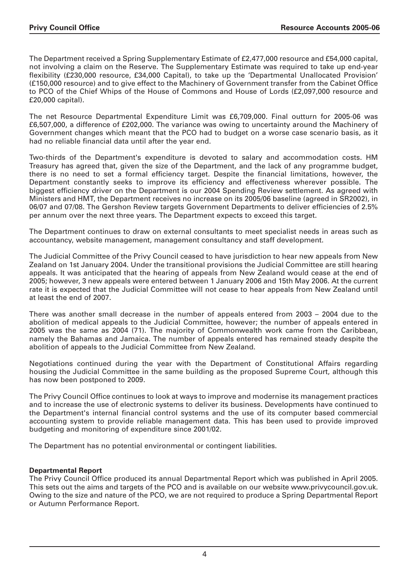The Department received a Spring Supplementary Estimate of £2,477,000 resource and £54,000 capital, not involving a claim on the Reserve. The Supplementary Estimate was required to take up end-year flexibility (£230,000 resource, £34,000 Capital), to take up the 'Departmental Unallocated Provision' (£150,000 resource) and to give effect to the Machinery of Government transfer from the Cabinet Office to PCO of the Chief Whips of the House of Commons and House of Lords (£2,097,000 resource and £20,000 capital).

The net Resource Departmental Expenditure Limit was £6,709,000. Final outturn for 2005-06 was £6,507,000, a difference of £202,000. The variance was owing to uncertainty around the Machinery of Government changes which meant that the PCO had to budget on a worse case scenario basis, as it had no reliable financial data until after the year end.

Two-thirds of the Department's expenditure is devoted to salary and accommodation costs. HM Treasury has agreed that, given the size of the Department, and the lack of any programme budget, there is no need to set a formal efficiency target. Despite the financial limitations, however, the Department constantly seeks to improve its efficiency and effectiveness wherever possible. The biggest efficiency driver on the Department is our 2004 Spending Review settlement. As agreed with Ministers and HMT, the Department receives no increase on its 2005/06 baseline (agreed in SR2002), in 06/07 and 07/08. The Gershon Review targets Government Departments to deliver efficiencies of 2.5% per annum over the next three years. The Department expects to exceed this target.

The Department continues to draw on external consultants to meet specialist needs in areas such as accountancy, website management, management consultancy and staff development.

The Judicial Committee of the Privy Council ceased to have jurisdiction to hear new appeals from New Zealand on 1st January 2004. Under the transitional provisions the Judicial Committee are still hearing appeals. It was anticipated that the hearing of appeals from New Zealand would cease at the end of 2005; however, 3 new appeals were entered between 1 January 2006 and 15th May 2006. At the current rate it is expected that the Judicial Committee will not cease to hear appeals from New Zealand until at least the end of 2007.

There was another small decrease in the number of appeals entered from 2003 – 2004 due to the abolition of medical appeals to the Judicial Committee, however; the number of appeals entered in 2005 was the same as 2004 (71). The majority of Commonwealth work came from the Caribbean, namely the Bahamas and Jamaica. The number of appeals entered has remained steady despite the abolition of appeals to the Judicial Committee from New Zealand.

Negotiations continued during the year with the Department of Constitutional Affairs regarding housing the Judicial Committee in the same building as the proposed Supreme Court, although this has now been postponed to 2009.

The Privy Council Office continues to look at ways to improve and modernise its management practices and to increase the use of electronic systems to deliver its business. Developments have continued to the Department's internal financial control systems and the use of its computer based commercial accounting system to provide reliable management data. This has been used to provide improved budgeting and monitoring of expenditure since 2001/02.

The Department has no potential environmental or contingent liabilities.

# **Departmental Report**

The Privy Council Office produced its annual Departmental Report which was published in April 2005. This sets out the aims and targets of the PCO and is available on our website www.privycouncil.gov.uk. Owing to the size and nature of the PCO, we are not required to produce a Spring Departmental Report or Autumn Performance Report.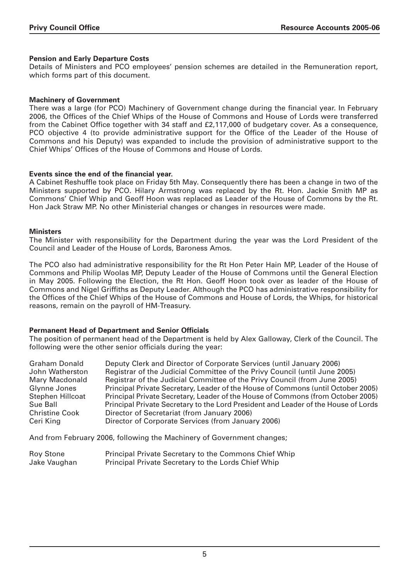#### **Pension and Early Departure Costs**

Details of Ministers and PCO employees' pension schemes are detailed in the Remuneration report, which forms part of this document.

#### **Machinery of Government**

There was a large (for PCO) Machinery of Government change during the financial year. In February 2006, the Offices of the Chief Whips of the House of Commons and House of Lords were transferred from the Cabinet Office together with 34 staff and £2,117,000 of budgetary cover. As a consequence, PCO objective 4 (to provide administrative support for the Office of the Leader of the House of Commons and his Deputy) was expanded to include the provision of administrative support to the Chief Whips' Offices of the House of Commons and House of Lords.

#### **Events since the end of the financial year.**

A Cabinet Reshuffle took place on Friday 5th May. Consequently there has been a change in two of the Ministers supported by PCO. Hilary Armstrong was replaced by the Rt. Hon. Jackie Smith MP as Commons' Chief Whip and Geoff Hoon was replaced as Leader of the House of Commons by the Rt. Hon Jack Straw MP. No other Ministerial changes or changes in resources were made.

#### **Ministers**

The Minister with responsibility for the Department during the year was the Lord President of the Council and Leader of the House of Lords, Baroness Amos.

The PCO also had administrative responsibility for the Rt Hon Peter Hain MP, Leader of the House of Commons and Philip Woolas MP, Deputy Leader of the House of Commons until the General Election in May 2005. Following the Election, the Rt Hon. Geoff Hoon took over as leader of the House of Commons and Nigel Griffiths as Deputy Leader. Although the PCO has administrative responsibility for the Offices of the Chief Whips of the House of Commons and House of Lords, the Whips, for historical reasons, remain on the payroll of HM-Treasury.

#### **Permanent Head of Department and Senior Officials**

The position of permanent head of the Department is held by Alex Galloway, Clerk of the Council. The following were the other senior officials during the year:

| <b>Graham Donald</b>  | Deputy Clerk and Director of Corporate Services (until January 2006)               |
|-----------------------|------------------------------------------------------------------------------------|
| John Watherston       | Registrar of the Judicial Committee of the Privy Council (until June 2005)         |
| Mary Macdonald        | Registrar of the Judicial Committee of the Privy Council (from June 2005)          |
| Glynne Jones          | Principal Private Secretary, Leader of the House of Commons (until October 2005)   |
| Stephen Hillcoat      | Principal Private Secretary, Leader of the House of Commons (from October 2005)    |
| Sue Ball              | Principal Private Secretary to the Lord President and Leader of the House of Lords |
| <b>Christine Cook</b> | Director of Secretariat (from January 2006)                                        |
| Ceri King             | Director of Corporate Services (from January 2006)                                 |

And from February 2006, following the Machinery of Government changes;

| Roy Stone    | <b>Principal Private Secretary to the Commons Chief Whip</b> |
|--------------|--------------------------------------------------------------|
| Jake Vaughan | Principal Private Secretary to the Lords Chief Whip          |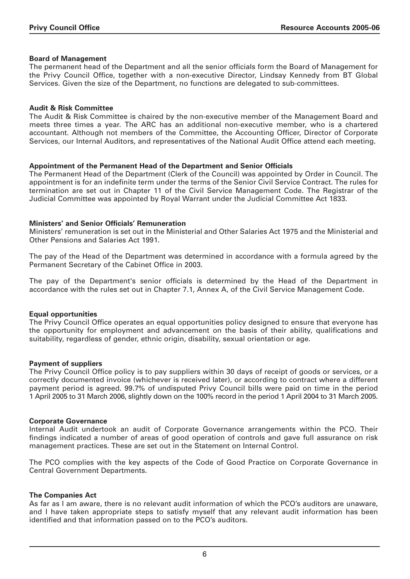#### **Board of Management**

The permanent head of the Department and all the senior officials form the Board of Management for the Privy Council Office, together with a non-executive Director, Lindsay Kennedy from BT Global Services. Given the size of the Department, no functions are delegated to sub-committees.

#### **Audit & Risk Committee**

The Audit & Risk Committee is chaired by the non-executive member of the Management Board and meets three times a year. The ARC has an additional non-executive member, who is a chartered accountant. Although not members of the Committee, the Accounting Officer, Director of Corporate Services, our Internal Auditors, and representatives of the National Audit Office attend each meeting.

### **Appointment of the Permanent Head of the Department and Senior Officials**

The Permanent Head of the Department (Clerk of the Council) was appointed by Order in Council. The appointment is for an indefinite term under the terms of the Senior Civil Service Contract. The rules for termination are set out in Chapter 11 of the Civil Service Management Code. The Registrar of the Judicial Committee was appointed by Royal Warrant under the Judicial Committee Act 1833.

### **Ministers' and Senior Officials' Remuneration**

Ministers' remuneration is set out in the Ministerial and Other Salaries Act 1975 and the Ministerial and Other Pensions and Salaries Act 1991.

The pay of the Head of the Department was determined in accordance with a formula agreed by the Permanent Secretary of the Cabinet Office in 2003.

The pay of the Department's senior officials is determined by the Head of the Department in accordance with the rules set out in Chapter 7.1, Annex A, of the Civil Service Management Code.

#### **Equal opportunities**

The Privy Council Office operates an equal opportunities policy designed to ensure that everyone has the opportunity for employment and advancement on the basis of their ability, qualifications and suitability, regardless of gender, ethnic origin, disability, sexual orientation or age.

#### **Payment of suppliers**

The Privy Council Office policy is to pay suppliers within 30 days of receipt of goods or services, or a correctly documented invoice (whichever is received later), or according to contract where a different payment period is agreed. 99.7% of undisputed Privy Council bills were paid on time in the period 1 April 2005 to 31 March 2006, slightly down on the 100% record in the period 1 April 2004 to 31 March 2005.

#### **Corporate Governance**

Internal Audit undertook an audit of Corporate Governance arrangements within the PCO. Their findings indicated a number of areas of good operation of controls and gave full assurance on risk management practices. These are set out in the Statement on Internal Control.

The PCO complies with the key aspects of the Code of Good Practice on Corporate Governance in Central Government Departments.

#### **The Companies Act**

As far as I am aware, there is no relevant audit information of which the PCO's auditors are unaware, and I have taken appropriate steps to satisfy myself that any relevant audit information has been identified and that information passed on to the PCO's auditors.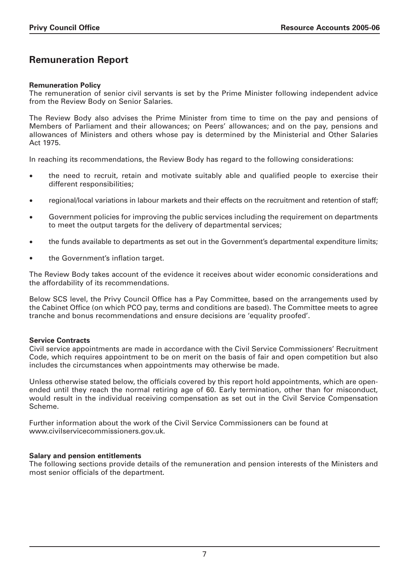# **Remuneration Report**

### **Remuneration Policy**

The remuneration of senior civil servants is set by the Prime Minister following independent advice from the Review Body on Senior Salaries.

The Review Body also advises the Prime Minister from time to time on the pay and pensions of Members of Parliament and their allowances; on Peers' allowances; and on the pay, pensions and allowances of Ministers and others whose pay is determined by the Ministerial and Other Salaries Act 1975.

In reaching its recommendations, the Review Body has regard to the following considerations:

- the need to recruit, retain and motivate suitably able and qualified people to exercise their different responsibilities;
- regional/local variations in labour markets and their effects on the recruitment and retention of staff;
- Government policies for improving the public services including the requirement on departments to meet the output targets for the delivery of departmental services;
- the funds available to departments as set out in the Government's departmental expenditure limits;
- the Government's inflation target.

The Review Body takes account of the evidence it receives about wider economic considerations and the affordability of its recommendations.

Below SCS level, the Privy Council Office has a Pay Committee, based on the arrangements used by the Cabinet Office (on which PCO pay, terms and conditions are based). The Committee meets to agree tranche and bonus recommendations and ensure decisions are 'equality proofed'.

#### **Service Contracts**

Civil service appointments are made in accordance with the Civil Service Commissioners' Recruitment Code, which requires appointment to be on merit on the basis of fair and open competition but also includes the circumstances when appointments may otherwise be made.

Unless otherwise stated below, the officials covered by this report hold appointments, which are openended until they reach the normal retiring age of 60. Early termination, other than for misconduct, would result in the individual receiving compensation as set out in the Civil Service Compensation Scheme.

Further information about the work of the Civil Service Commissioners can be found at www.civilservicecommissioners.gov.uk.

# **Salary and pension entitlements**

The following sections provide details of the remuneration and pension interests of the Ministers and most senior officials of the department.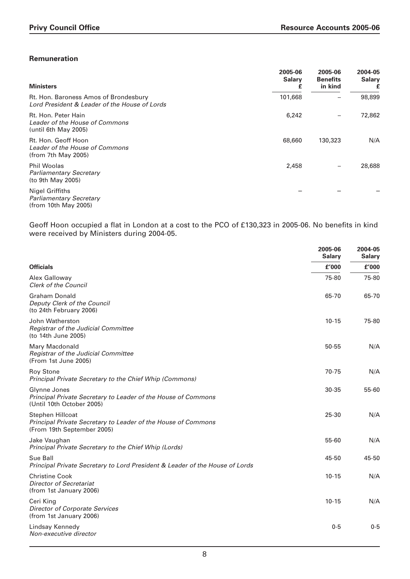# **Remuneration**

| <b>Ministers</b>                                                                       | 2005-06<br><b>Salary</b><br>£ | 2005-06<br><b>Benefits</b><br>in kind | 2004-05<br><b>Salary</b><br>£ |
|----------------------------------------------------------------------------------------|-------------------------------|---------------------------------------|-------------------------------|
| Rt. Hon. Baroness Amos of Brondesbury<br>Lord President & Leader of the House of Lords | 101,668                       |                                       | 98,899                        |
| Rt. Hon. Peter Hain<br>Leader of the House of Commons<br>(until 6th May 2005)          | 6,242                         |                                       | 72,862                        |
| Rt. Hon. Geoff Hoon<br>Leader of the House of Commons<br>(from 7th May 2005)           | 68,660                        | 130,323                               | N/A                           |
| <b>Phil Woolas</b><br><b>Parliamentary Secretary</b><br>(to 9th May 2005)              | 2,458                         |                                       | 28,688                        |
| Nigel Griffiths<br><b>Parliamentary Secretary</b><br>(from 10th May 2005)              |                               |                                       |                               |

Geoff Hoon occupied a flat in London at a cost to the PCO of £130,323 in 2005-06. No benefits in kind were received by Ministers during 2004-05.

|                                                                                                                        | 2005-06<br><b>Salary</b> | 2004-05<br><b>Salary</b> |
|------------------------------------------------------------------------------------------------------------------------|--------------------------|--------------------------|
| <b>Officials</b>                                                                                                       | £'000                    | £'000                    |
| Alex Galloway<br><b>Clerk of the Council</b>                                                                           | 75-80                    | 75-80                    |
| Graham Donald<br>Deputy Clerk of the Council<br>(to 24th February 2006)                                                | 65-70                    | 65-70                    |
| John Watherston<br>Registrar of the Judicial Committee<br>(to 14th June 2005)                                          | $10 - 15$                | 75-80                    |
| Mary Macdonald<br>Registrar of the Judicial Committee<br>(From 1st June 2005)                                          | 50-55                    | N/A                      |
| <b>Roy Stone</b><br>Principal Private Secretary to the Chief Whip (Commons)                                            | 70-75                    | N/A                      |
| Glynne Jones<br>Principal Private Secretary to Leader of the House of Commons<br>(Until 10th October 2005)             | 30-35                    | 55-60                    |
| <b>Stephen Hillcoat</b><br>Principal Private Secretary to Leader of the House of Commons<br>(From 19th September 2005) | 25-30                    | N/A                      |
| Jake Vaughan<br>Principal Private Secretary to the Chief Whip (Lords)                                                  | 55-60                    | N/A                      |
| Sue Ball<br>Principal Private Secretary to Lord President & Leader of the House of Lords                               | 45-50                    | 45-50                    |
| <b>Christine Cook</b><br><b>Director of Secretariat</b><br>(from 1st January 2006)                                     | $10 - 15$                | N/A                      |
| Ceri King<br><b>Director of Corporate Services</b><br>(from 1st January 2006)                                          | $10 - 15$                | N/A                      |
| Lindsay Kennedy<br>Non-executive director                                                                              | $0 - 5$                  | $0 - 5$                  |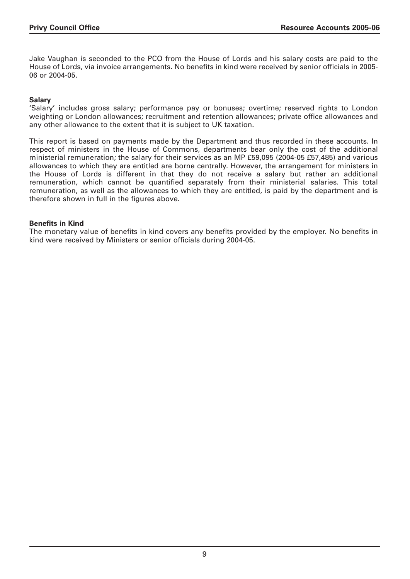Jake Vaughan is seconded to the PCO from the House of Lords and his salary costs are paid to the House of Lords, via invoice arrangements. No benefits in kind were received by senior officials in 2005- 06 or 2004-05.

#### **Salary**

'Salary' includes gross salary; performance pay or bonuses; overtime; reserved rights to London weighting or London allowances; recruitment and retention allowances; private office allowances and any other allowance to the extent that it is subject to UK taxation.

This report is based on payments made by the Department and thus recorded in these accounts. In respect of ministers in the House of Commons, departments bear only the cost of the additional ministerial remuneration; the salary for their services as an MP £59,095 (2004-05 £57,485) and various allowances to which they are entitled are borne centrally. However, the arrangement for ministers in the House of Lords is different in that they do not receive a salary but rather an additional remuneration, which cannot be quantified separately from their ministerial salaries. This total remuneration, as well as the allowances to which they are entitled, is paid by the department and is therefore shown in full in the figures above.

### **Benefits in Kind**

The monetary value of benefits in kind covers any benefits provided by the employer. No benefits in kind were received by Ministers or senior officials during 2004-05.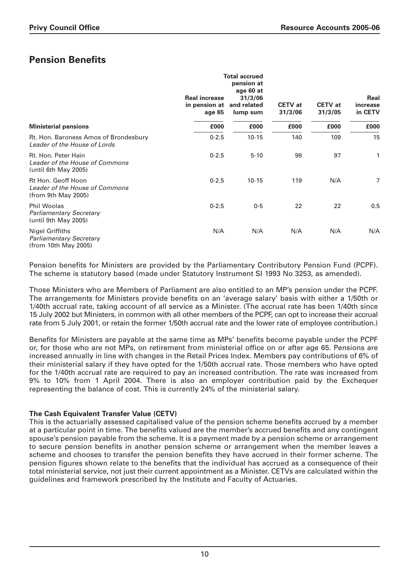# **Pension Benefits**

|                                                                               | <b>Real increase</b><br>in pension at<br>age 65 | <b>Total accrued</b><br>pension at<br>age 60 at<br>31/3/06<br>and related<br>lump sum | <b>CETV</b> at<br>31/3/06 | <b>CETV</b> at<br>31/3/05 | Real<br>increase<br>in CETV |
|-------------------------------------------------------------------------------|-------------------------------------------------|---------------------------------------------------------------------------------------|---------------------------|---------------------------|-----------------------------|
| <b>Ministerial pensions</b>                                                   | £000                                            | £000                                                                                  | £000                      | £000                      | £000                        |
| Rt. Hon. Baroness Amos of Brondesbury<br>Leader of the House of Lords         | $0 - 2.5$                                       | $10 - 15$                                                                             | 140                       | 109                       | 15                          |
| Rt. Hon. Peter Hain<br>Leader of the House of Commons<br>(until 6th May 2005) | $0 - 2.5$                                       | $5 - 10$                                                                              | 98                        | 97                        | 1                           |
| Rt Hon. Geoff Hoon<br>Leader of the House of Commons<br>(from 9th May 2005)   | $0 - 2.5$                                       | $10 - 15$                                                                             | 119                       | N/A                       | 7                           |
| <b>Phil Woolas</b><br><b>Parliamentary Secretary</b><br>until 9th May 2005)   | $0 - 2.5$                                       | $0 - 5$                                                                               | 22                        | 22                        | 0.5                         |
| Nigel Griffiths<br><b>Parliamentary Secretary</b><br>(from 10th May 2005)     | N/A                                             | N/A                                                                                   | N/A                       | N/A                       | N/A                         |

Pension benefits for Ministers are provided by the Parliamentary Contributory Pension Fund (PCPF). The scheme is statutory based (made under Statutory Instrument SI 1993 No 3253, as amended).

Those Ministers who are Members of Parliament are also entitled to an MP's pension under the PCPF. The arrangements for Ministers provide benefits on an 'average salary' basis with either a 1/50th or 1/40th accrual rate, taking account of all service as a Minister. (The accrual rate has been 1/40th since 15 July 2002 but Ministers, in common with all other members of the PCPF, can opt to increase their accrual rate from 5 July 2001, or retain the former 1/50th accrual rate and the lower rate of employee contribution.)

Benefits for Ministers are payable at the same time as MPs' benefits become payable under the PCPF or, for those who are not MPs, on retirement from ministerial office on or after age 65. Pensions are increased annually in line with changes in the Retail Prices Index. Members pay contributions of 6% of their ministerial salary if they have opted for the 1/50th accrual rate. Those members who have opted for the 1/40th accrual rate are required to pay an increased contribution. The rate was increased from 9% to 10% from 1 April 2004. There is also an employer contribution paid by the Exchequer representing the balance of cost. This is currently 24% of the ministerial salary.

# **The Cash Equivalent Transfer Value (CETV)**

This is the actuarially assessed capitalised value of the pension scheme benefits accrued by a member at a particular point in time. The benefits valued are the member's accrued benefits and any contingent spouse's pension payable from the scheme. It is a payment made by a pension scheme or arrangement to secure pension benefits in another pension scheme or arrangement when the member leaves a scheme and chooses to transfer the pension benefits they have accrued in their former scheme. The pension figures shown relate to the benefits that the individual has accrued as a consequence of their total ministerial service, not just their current appointment as a Minister. CETVs are calculated within the guidelines and framework prescribed by the Institute and Faculty of Actuaries.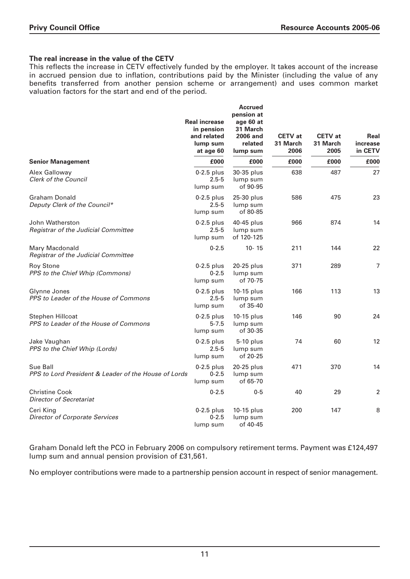# **The real increase in the value of the CETV**

This reflects the increase in CETV effectively funded by the employer. It takes account of the increase in accrued pension due to inflation, contributions paid by the Minister (including the value of any benefits transferred from another pension scheme or arrangement) and uses common market valuation factors for the start and end of the period.

|                                                                  | <b>Real increase</b><br>in pension<br>and related<br>lump sum<br>at age 60 | <b>Accrued</b><br>pension at<br>age 60 at<br>31 March<br><b>2006 and</b><br>related<br>lump sum | <b>CETV</b> at<br>31 March<br>2006 | <b>CETV</b> at<br>31 March<br>2005 | Real<br>increase<br>in CETV |
|------------------------------------------------------------------|----------------------------------------------------------------------------|-------------------------------------------------------------------------------------------------|------------------------------------|------------------------------------|-----------------------------|
| <b>Senior Management</b>                                         | £000                                                                       | £000                                                                                            | £000                               | £000                               | £000                        |
| Alex Galloway<br><b>Clerk of the Council</b>                     | $0-2.5$ plus<br>$2.5 - 5$<br>lump sum                                      | 30-35 plus<br>lump sum<br>of 90-95                                                              | 638                                | 487                                | 27                          |
| <b>Graham Donald</b><br>Deputy Clerk of the Council*             | $0-2.5$ plus<br>$2.5 - 5$<br>lump sum                                      | 25-30 plus<br>lump sum<br>of 80-85                                                              | 586                                | 475                                | 23                          |
| John Watherston<br>Registrar of the Judicial Committee           | $0-2.5$ plus<br>$2.5 - 5$<br>lump sum                                      | 40-45 plus<br>lump sum<br>of 120-125                                                            | 966                                | 874                                | 14                          |
| Mary Macdonald<br>Registrar of the Judicial Committee            | $0 - 2.5$                                                                  | $10 - 15$                                                                                       | 211                                | 144                                | 22                          |
| <b>Roy Stone</b><br>PPS to the Chief Whip (Commons)              | $0-2.5$ plus<br>$0 - 2.5$<br>lump sum                                      | 20-25 plus<br>lump sum<br>of 70-75                                                              | 371                                | 289                                | $\overline{7}$              |
| Glynne Jones<br>PPS to Leader of the House of Commons            | $0-2.5$ plus<br>$2.5 - 5$<br>lump sum                                      | 10-15 plus<br>lump sum<br>of 35-40                                                              | 166                                | 113                                | 13                          |
| Stephen Hillcoat<br>PPS to Leader of the House of Commons        | $0-2.5$ plus<br>$5 - 7.5$<br>lump sum                                      | $10-15$ plus<br>lump sum<br>of 30-35                                                            | 146                                | 90                                 | 24                          |
| Jake Vaughan<br>PPS to the Chief Whip (Lords)                    | $0-2.5$ plus<br>$2.5 - 5$<br>lump sum                                      | 5-10 plus<br>lump sum<br>of 20-25                                                               | 74                                 | 60                                 | 12                          |
| Sue Ball<br>PPS to Lord President & Leader of the House of Lords | $0-2.5$ plus<br>$0 - 2.5$<br>lump sum                                      | 20-25 plus<br>lump sum<br>of 65-70                                                              | 471                                | 370                                | 14                          |
| <b>Christine Cook</b><br><b>Director of Secretariat</b>          | $0 - 2.5$                                                                  | $0 - 5$                                                                                         | 40                                 | 29                                 | 2                           |
| Ceri King<br><b>Director of Corporate Services</b>               | $0-2.5$ plus<br>$0 - 2.5$<br>lump sum                                      | 10-15 plus<br>lump sum<br>of 40-45                                                              | 200                                | 147                                | 8                           |

Graham Donald left the PCO in February 2006 on compulsory retirement terms. Payment was £124,497 lump sum and annual pension provision of £31,561.

No employer contributions were made to a partnership pension account in respect of senior management.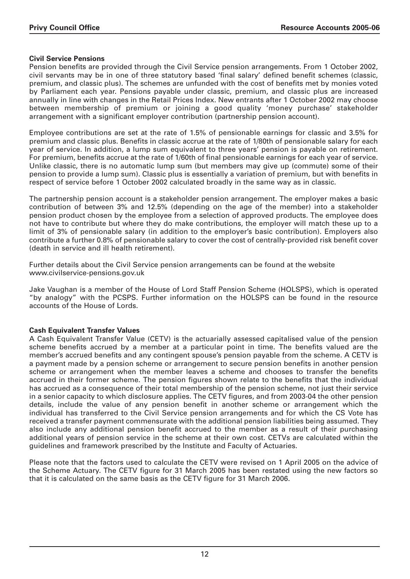# **Civil Service Pensions**

Pension benefits are provided through the Civil Service pension arrangements. From 1 October 2002, civil servants may be in one of three statutory based 'final salary' defined benefit schemes (classic, premium, and classic plus). The schemes are unfunded with the cost of benefits met by monies voted by Parliament each year. Pensions payable under classic, premium, and classic plus are increased annually in line with changes in the Retail Prices Index. New entrants after 1 October 2002 may choose between membership of premium or joining a good quality 'money purchase' stakeholder arrangement with a significant employer contribution (partnership pension account).

Employee contributions are set at the rate of 1.5% of pensionable earnings for classic and 3.5% for premium and classic plus. Benefits in classic accrue at the rate of 1/80th of pensionable salary for each year of service. In addition, a lump sum equivalent to three years' pension is payable on retirement. For premium, benefits accrue at the rate of 1/60th of final pensionable earnings for each year of service. Unlike classic, there is no automatic lump sum (but members may give up (commute) some of their pension to provide a lump sum). Classic plus is essentially a variation of premium, but with benefits in respect of service before 1 October 2002 calculated broadly in the same way as in classic.

The partnership pension account is a stakeholder pension arrangement. The employer makes a basic contribution of between 3% and 12.5% (depending on the age of the member) into a stakeholder pension product chosen by the employee from a selection of approved products. The employee does not have to contribute but where they do make contributions, the employer will match these up to a limit of 3% of pensionable salary (in addition to the employer's basic contribution). Employers also contribute a further 0.8% of pensionable salary to cover the cost of centrally-provided risk benefit cover (death in service and ill health retirement).

Further details about the Civil Service pension arrangements can be found at the website www.civilservice-pensions.gov.uk

Jake Vaughan is a member of the House of Lord Staff Pension Scheme (HOLSPS), which is operated "by analogy" with the PCSPS. Further information on the HOLSPS can be found in the resource accounts of the House of Lords.

# **Cash Equivalent Transfer Values**

A Cash Equivalent Transfer Value (CETV) is the actuarially assessed capitalised value of the pension scheme benefits accrued by a member at a particular point in time. The benefits valued are the member's accrued benefits and any contingent spouse's pension payable from the scheme. A CETV is a payment made by a pension scheme or arrangement to secure pension benefits in another pension scheme or arrangement when the member leaves a scheme and chooses to transfer the benefits accrued in their former scheme. The pension figures shown relate to the benefits that the individual has accrued as a consequence of their total membership of the pension scheme, not just their service in a senior capacity to which disclosure applies. The CETV figures, and from 2003-04 the other pension details, include the value of any pension benefit in another scheme or arrangement which the individual has transferred to the Civil Service pension arrangements and for which the CS Vote has received a transfer payment commensurate with the additional pension liabilities being assumed. They also include any additional pension benefit accrued to the member as a result of their purchasing additional years of pension service in the scheme at their own cost. CETVs are calculated within the guidelines and framework prescribed by the Institute and Faculty of Actuaries.

Please note that the factors used to calculate the CETV were revised on 1 April 2005 on the advice of the Scheme Actuary. The CETV figure for 31 March 2005 has been restated using the new factors so that it is calculated on the same basis as the CETV figure for 31 March 2006.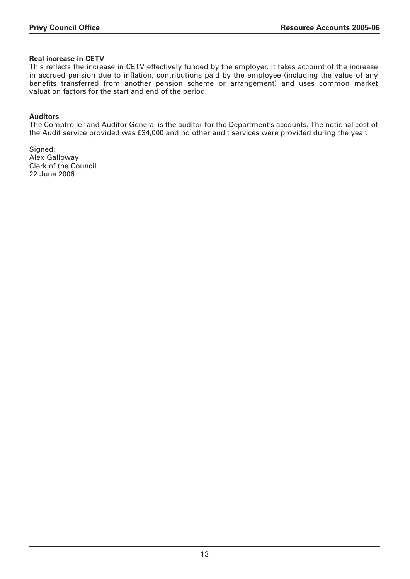## **Real increase in CETV**

This reflects the increase in CETV effectively funded by the employer. It takes account of the increase in accrued pension due to inflation, contributions paid by the employee (including the value of any benefits transferred from another pension scheme or arrangement) and uses common market valuation factors for the start and end of the period.

## **Auditors**

The Comptroller and Auditor General is the auditor for the Department's accounts. The notional cost of the Audit service provided was £34,000 and no other audit services were provided during the year.

Signed: Alex Galloway Clerk of the Council 22 June 2006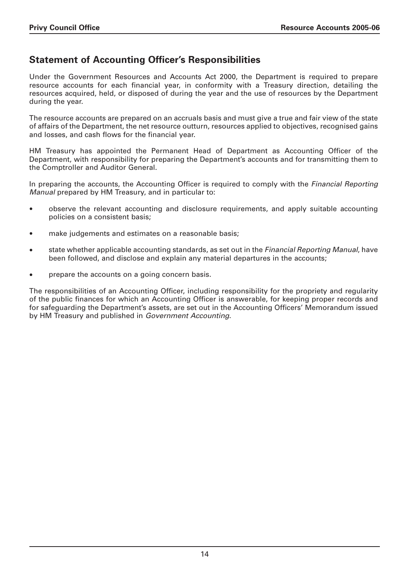# **Statement of Accounting Officer's Responsibilities**

Under the Government Resources and Accounts Act 2000, the Department is required to prepare resource accounts for each financial year, in conformity with a Treasury direction, detailing the resources acquired, held, or disposed of during the year and the use of resources by the Department during the year.

The resource accounts are prepared on an accruals basis and must give a true and fair view of the state of affairs of the Department, the net resource outturn, resources applied to objectives, recognised gains and losses, and cash flows for the financial year.

HM Treasury has appointed the Permanent Head of Department as Accounting Officer of the Department, with responsibility for preparing the Department's accounts and for transmitting them to the Comptroller and Auditor General.

In preparing the accounts, the Accounting Officer is required to comply with the Financial Reporting Manual prepared by HM Treasury, and in particular to:

- observe the relevant accounting and disclosure requirements, and apply suitable accounting policies on a consistent basis;
- make judgements and estimates on a reasonable basis;
- state whether applicable accounting standards, as set out in the *Financial Reporting Manual*, have been followed, and disclose and explain any material departures in the accounts;
- prepare the accounts on a going concern basis.

The responsibilities of an Accounting Officer, including responsibility for the propriety and regularity of the public finances for which an Accounting Officer is answerable, for keeping proper records and for safeguarding the Department's assets, are set out in the Accounting Officers' Memorandum issued by HM Treasury and published in Government Accounting.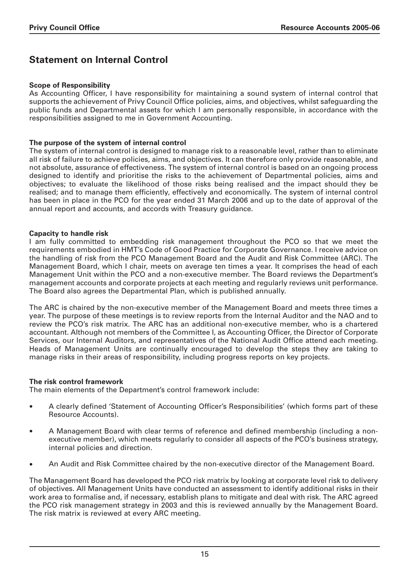# **Statement on Internal Control**

## **Scope of Responsibility**

As Accounting Officer, I have responsibility for maintaining a sound system of internal control that supports the achievement of Privy Council Office policies, aims, and objectives, whilst safeguarding the public funds and Departmental assets for which I am personally responsible, in accordance with the responsibilities assigned to me in Government Accounting.

### **The purpose of the system of internal control**

The system of internal control is designed to manage risk to a reasonable level, rather than to eliminate all risk of failure to achieve policies, aims, and objectives. It can therefore only provide reasonable, and not absolute, assurance of effectiveness. The system of internal control is based on an ongoing process designed to identify and prioritise the risks to the achievement of Departmental policies, aims and objectives; to evaluate the likelihood of those risks being realised and the impact should they be realised; and to manage them efficiently, effectively and economically. The system of internal control has been in place in the PCO for the year ended 31 March 2006 and up to the date of approval of the annual report and accounts, and accords with Treasury guidance.

### **Capacity to handle risk**

I am fully committed to embedding risk management throughout the PCO so that we meet the requirements embodied in HMT's Code of Good Practice for Corporate Governance. I receive advice on the handling of risk from the PCO Management Board and the Audit and Risk Committee (ARC). The Management Board, which I chair, meets on average ten times a year. It comprises the head of each Management Unit within the PCO and a non-executive member. The Board reviews the Department's management accounts and corporate projects at each meeting and regularly reviews unit performance. The Board also agrees the Departmental Plan, which is published annually.

The ARC is chaired by the non-executive member of the Management Board and meets three times a year. The purpose of these meetings is to review reports from the Internal Auditor and the NAO and to review the PCO's risk matrix. The ARC has an additional non-executive member, who is a chartered accountant. Although not members of the Committee I, as Accounting Officer, the Director of Corporate Services, our Internal Auditors, and representatives of the National Audit Office attend each meeting. Heads of Management Units are continually encouraged to develop the steps they are taking to manage risks in their areas of responsibility, including progress reports on key projects.

#### **The risk control framework**

The main elements of the Department's control framework include:

- A clearly defined 'Statement of Accounting Officer's Responsibilities' (which forms part of these Resource Accounts).
- A Management Board with clear terms of reference and defined membership (including a nonexecutive member), which meets regularly to consider all aspects of the PCO's business strategy, internal policies and direction.
- An Audit and Risk Committee chaired by the non-executive director of the Management Board.

The Management Board has developed the PCO risk matrix by looking at corporate level risk to delivery of objectives. All Management Units have conducted an assessment to identify additional risks in their work area to formalise and, if necessary, establish plans to mitigate and deal with risk. The ARC agreed the PCO risk management strategy in 2003 and this is reviewed annually by the Management Board. The risk matrix is reviewed at every ARC meeting.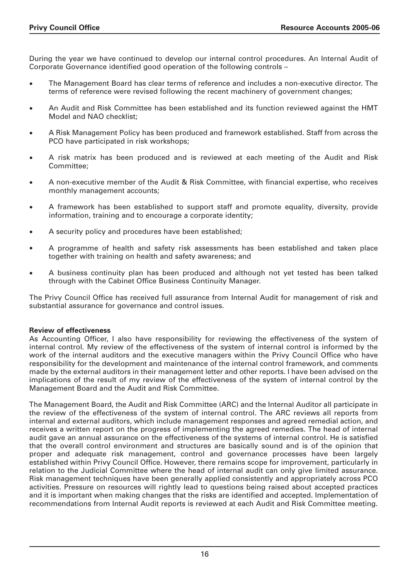During the year we have continued to develop our internal control procedures. An Internal Audit of Corporate Governance identified good operation of the following controls –

- The Management Board has clear terms of reference and includes a non-executive director. The terms of reference were revised following the recent machinery of government changes;
- An Audit and Risk Committee has been established and its function reviewed against the HMT Model and NAO checklist;
- A Risk Management Policy has been produced and framework established. Staff from across the PCO have participated in risk workshops;
- A risk matrix has been produced and is reviewed at each meeting of the Audit and Risk Committee;
- A non-executive member of the Audit & Risk Committee, with financial expertise, who receives monthly management accounts;
- A framework has been established to support staff and promote equality, diversity, provide information, training and to encourage a corporate identity;
- A security policy and procedures have been established;
- A programme of health and safety risk assessments has been established and taken place together with training on health and safety awareness; and
- A business continuity plan has been produced and although not yet tested has been talked through with the Cabinet Office Business Continuity Manager.

The Privy Council Office has received full assurance from Internal Audit for management of risk and substantial assurance for governance and control issues.

#### **Review of effectiveness**

As Accounting Officer, I also have responsibility for reviewing the effectiveness of the system of internal control. My review of the effectiveness of the system of internal control is informed by the work of the internal auditors and the executive managers within the Privy Council Office who have responsibility for the development and maintenance of the internal control framework, and comments made by the external auditors in their management letter and other reports. I have been advised on the implications of the result of my review of the effectiveness of the system of internal control by the Management Board and the Audit and Risk Committee.

The Management Board, the Audit and Risk Committee (ARC) and the Internal Auditor all participate in the review of the effectiveness of the system of internal control. The ARC reviews all reports from internal and external auditors, which include management responses and agreed remedial action, and receives a written report on the progress of implementing the agreed remedies. The head of internal audit gave an annual assurance on the effectiveness of the systems of internal control. He is satisfied that the overall control environment and structures are basically sound and is of the opinion that proper and adequate risk management, control and governance processes have been largely established within Privy Council Office. However, there remains scope for improvement, particularly in relation to the Judicial Committee where the head of internal audit can only give limited assurance. Risk management techniques have been generally applied consistently and appropriately across PCO activities. Pressure on resources will rightly lead to questions being raised about accepted practices and it is important when making changes that the risks are identified and accepted. Implementation of recommendations from Internal Audit reports is reviewed at each Audit and Risk Committee meeting.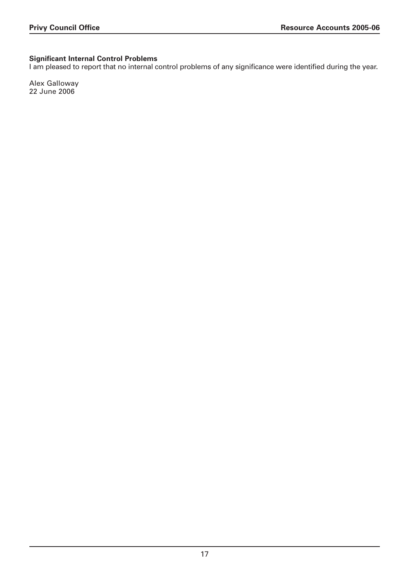# **Significant Internal Control Problems**

I am pleased to report that no internal control problems of any significance were identified during the year.

Alex Galloway 22 June 2006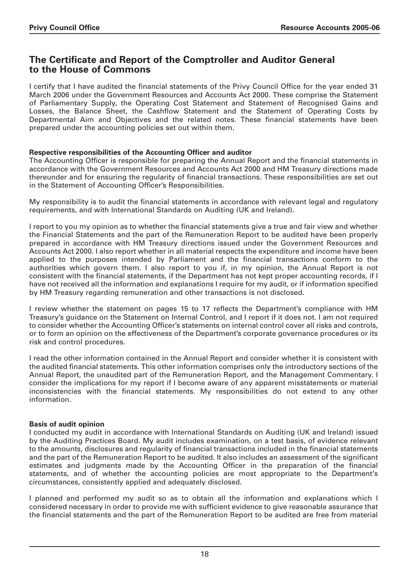# **The Certificate and Report of the Comptroller and Auditor General to the House of Commons**

I certify that I have audited the financial statements of the Privy Council Office for the year ended 31 March 2006 under the Government Resources and Accounts Act 2000. These comprise the Statement of Parliamentary Supply, the Operating Cost Statement and Statement of Recognised Gains and Losses, the Balance Sheet, the Cashflow Statement and the Statement of Operating Costs by Departmental Aim and Objectives and the related notes. These financial statements have been prepared under the accounting policies set out within them.

# **Respective responsibilities of the Accounting Officer and auditor**

The Accounting Officer is responsible for preparing the Annual Report and the financial statements in accordance with the Government Resources and Accounts Act 2000 and HM Treasury directions made thereunder and for ensuring the regularity of financial transactions. These responsibilities are set out in the Statement of Accounting Officer's Responsibilities.

My responsibility is to audit the financial statements in accordance with relevant legal and regulatory requirements, and with International Standards on Auditing (UK and Ireland).

I report to you my opinion as to whether the financial statements give a true and fair view and whether the Financial Statements and the part of the Remuneration Report to be audited have been properly prepared in accordance with HM Treasury directions issued under the Government Resources and Accounts Act 2000. I also report whether in all material respects the expenditure and income have been applied to the purposes intended by Parliament and the financial transactions conform to the authorities which govern them. I also report to you if, in my opinion, the Annual Report is not consistent with the financial statements, if the Department has not kept proper accounting records, if I have not received all the information and explanations I require for my audit, or if information specified by HM Treasury regarding remuneration and other transactions is not disclosed.

I review whether the statement on pages 15 to 17 reflects the Department's compliance with HM Treasury's guidance on the Statement on Internal Control, and I report if it does not. I am not required to consider whether the Accounting Officer's statements on internal control cover all risks and controls, or to form an opinion on the effectiveness of the Department's corporate governance procedures or its risk and control procedures.

I read the other information contained in the Annual Report and consider whether it is consistent with the audited financial statements. This other information comprises only the introductory sections of the Annual Report, the unaudited part of the Remuneration Report, and the Management Commentary. I consider the implications for my report if I become aware of any apparent misstatements or material inconsistencies with the financial statements. My responsibilities do not extend to any other information.

# **Basis of audit opinion**

I conducted my audit in accordance with International Standards on Auditing (UK and Ireland) issued by the Auditing Practices Board. My audit includes examination, on a test basis, of evidence relevant to the amounts, disclosures and regularity of financial transactions included in the financial statements and the part of the Remuneration Report to be audited. It also includes an assessment of the significant estimates and judgments made by the Accounting Officer in the preparation of the financial statements, and of whether the accounting policies are most appropriate to the Department's circumstances, consistently applied and adequately disclosed.

I planned and performed my audit so as to obtain all the information and explanations which I considered necessary in order to provide me with sufficient evidence to give reasonable assurance that the financial statements and the part of the Remuneration Report to be audited are free from material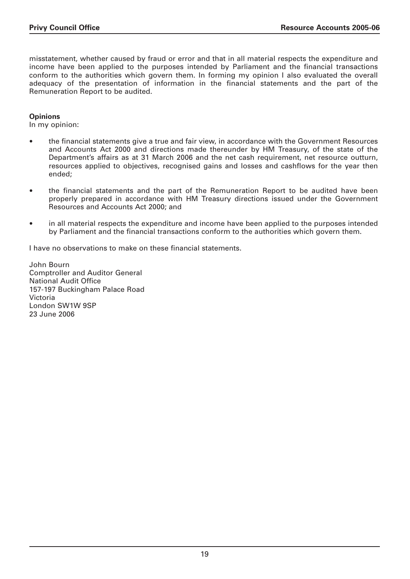misstatement, whether caused by fraud or error and that in all material respects the expenditure and income have been applied to the purposes intended by Parliament and the financial transactions conform to the authorities which govern them. In forming my opinion I also evaluated the overall adequacy of the presentation of information in the financial statements and the part of the Remuneration Report to be audited.

## **Opinions**

In my opinion:

- the financial statements give a true and fair view, in accordance with the Government Resources and Accounts Act 2000 and directions made thereunder by HM Treasury, of the state of the Department's affairs as at 31 March 2006 and the net cash requirement, net resource outturn, resources applied to objectives, recognised gains and losses and cashflows for the year then ended;
- the financial statements and the part of the Remuneration Report to be audited have been properly prepared in accordance with HM Treasury directions issued under the Government Resources and Accounts Act 2000; and
- in all material respects the expenditure and income have been applied to the purposes intended by Parliament and the financial transactions conform to the authorities which govern them.

I have no observations to make on these financial statements.

John Bourn Comptroller and Auditor General National Audit Office 157-197 Buckingham Palace Road Victoria London SW1W 9SP 23 June 2006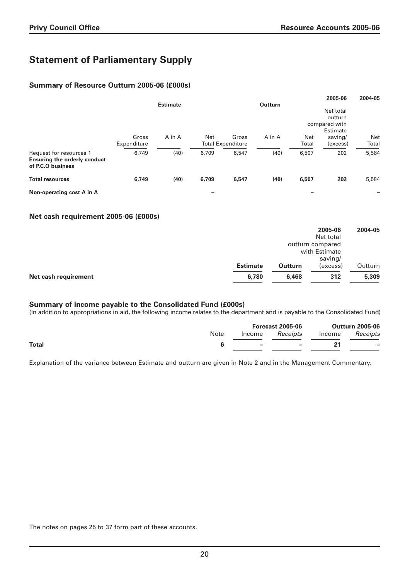# **Statement of Parliamentary Supply**

### **Summary of Resource Outturn 2005-06 (£000s)**

|                                                                                     |             |                 |       |                          |                |            | 2005-06                   | 2004-05    |
|-------------------------------------------------------------------------------------|-------------|-----------------|-------|--------------------------|----------------|------------|---------------------------|------------|
|                                                                                     |             | <b>Estimate</b> |       |                          | <b>Outturn</b> |            |                           |            |
|                                                                                     |             |                 |       |                          |                |            | Net total                 |            |
|                                                                                     |             |                 |       |                          |                |            | outturn                   |            |
|                                                                                     |             |                 |       |                          |                |            | compared with<br>Estimate |            |
|                                                                                     | Gross       | A in A          | Net   | Gross                    | A in A         | <b>Net</b> | saving/                   | <b>Net</b> |
|                                                                                     | Expenditure |                 |       | <b>Total Expenditure</b> |                | Total      | (excess)                  | Total      |
| Request for resources 1<br><b>Ensuring the orderly conduct</b><br>of P.C.O business | 6,749       | (40)            | 6,709 | 6,547                    | (40)           | 6,507      | 202                       | 5,584      |
| <b>Total resources</b>                                                              | 6,749       | (40)            | 6,709 | 6,547                    | (40)           | 6,507      | 202                       | 5,584      |
| Non-operating cost A in A                                                           |             |                 |       |                          |                |            |                           |            |

#### **Net cash requirement 2005-06 (£000s)**

|                      |                 |                | 2005-06          | 2004-05 |
|----------------------|-----------------|----------------|------------------|---------|
|                      |                 |                | Net total        |         |
|                      |                 |                | outturn compared |         |
|                      |                 |                | with Estimate    |         |
|                      |                 |                | saving/          |         |
|                      | <b>Estimate</b> | <b>Outturn</b> | (excess)         | Outturn |
| Net cash requirement | 6,780           | 6,468          | 312              | 5,309   |
|                      |                 |                |                  |         |

#### **Summary of income payable to the Consolidated Fund (£000s)**

(In addition to appropriations in aid, the following income relates to the department and is payable to the Consolidated Fund)

|              |      | <b>Forecast 2005-06</b>     |                        |  | <b>Outturn 2005-06</b>   |
|--------------|------|-----------------------------|------------------------|--|--------------------------|
|              | Note |                             | Income <i>Receipts</i> |  | Income Receipts          |
| <b>Total</b> |      | <b>Service</b> Construction | $\sim$                 |  | $\overline{\phantom{a}}$ |

Explanation of the variance between Estimate and outturn are given in Note 2 and in the Management Commentary.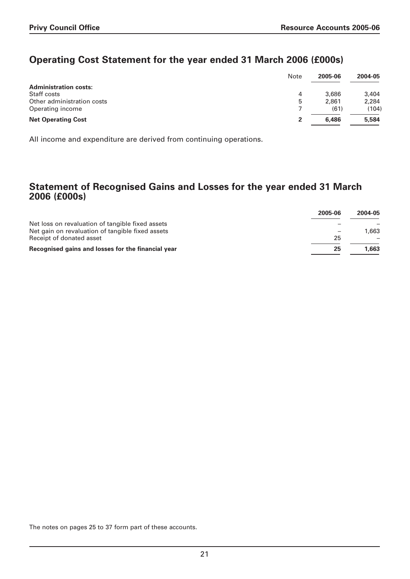# **Operating Cost Statement for the year ended 31 March 2006 (£000s)**

|                              | Note | 2005-06 | 2004-05 |
|------------------------------|------|---------|---------|
| <b>Administration costs:</b> |      |         |         |
| Staff costs                  | 4    | 3,686   | 3,404   |
| Other administration costs   | 5    | 2,861   | 2,284   |
| Operating income             |      | (61)    | (104)   |
| <b>Net Operating Cost</b>    |      | 6,486   | 5,584   |

All income and expenditure are derived from continuing operations.

# **Statement of Recognised Gains and Losses for the year ended 31 March 2006 (£000s)**

|                                                    | 2005-06 | 2004-05 |
|----------------------------------------------------|---------|---------|
| Net loss on revaluation of tangible fixed assets   |         |         |
| Net gain on revaluation of tangible fixed assets   |         | 1,663   |
| Receipt of donated asset                           | 25      |         |
| Recognised gains and losses for the financial year | 25      | 1,663   |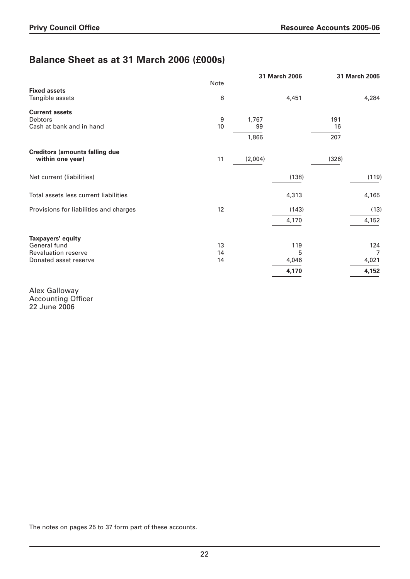# **Balance Sheet as at 31 March 2006 (£000s)**

| Note<br><b>Fixed assets</b><br>8<br>4,451<br>Tangible assets<br><b>Current assets</b><br><b>Debtors</b><br>9<br>1,767<br>191<br>Cash at bank and in hand<br>10<br>99<br>16<br>1,866<br>207<br><b>Creditors (amounts falling due</b><br>11<br>(2,004)<br>(326)<br>within one year)<br>Net current (liabilities)<br>(138)<br>Total assets less current liabilities<br>4,313<br>12<br>Provisions for liabilities and charges<br>(143)<br>4,170<br>Taxpayers' equity<br>General fund |    | 31 March 2006 | 31 March 2005  |
|----------------------------------------------------------------------------------------------------------------------------------------------------------------------------------------------------------------------------------------------------------------------------------------------------------------------------------------------------------------------------------------------------------------------------------------------------------------------------------|----|---------------|----------------|
|                                                                                                                                                                                                                                                                                                                                                                                                                                                                                  |    |               |                |
|                                                                                                                                                                                                                                                                                                                                                                                                                                                                                  |    |               | 4,284          |
|                                                                                                                                                                                                                                                                                                                                                                                                                                                                                  |    |               |                |
|                                                                                                                                                                                                                                                                                                                                                                                                                                                                                  |    |               |                |
|                                                                                                                                                                                                                                                                                                                                                                                                                                                                                  |    |               |                |
|                                                                                                                                                                                                                                                                                                                                                                                                                                                                                  |    |               |                |
|                                                                                                                                                                                                                                                                                                                                                                                                                                                                                  |    |               |                |
|                                                                                                                                                                                                                                                                                                                                                                                                                                                                                  |    |               | (119)          |
|                                                                                                                                                                                                                                                                                                                                                                                                                                                                                  |    |               | 4,165          |
|                                                                                                                                                                                                                                                                                                                                                                                                                                                                                  |    |               | (13)           |
|                                                                                                                                                                                                                                                                                                                                                                                                                                                                                  |    |               | 4,152          |
|                                                                                                                                                                                                                                                                                                                                                                                                                                                                                  |    |               |                |
|                                                                                                                                                                                                                                                                                                                                                                                                                                                                                  | 13 | 119           | 124            |
| <b>Revaluation reserve</b><br>14<br>5                                                                                                                                                                                                                                                                                                                                                                                                                                            |    |               | $\overline{7}$ |
| Donated asset reserve<br>4,046<br>14                                                                                                                                                                                                                                                                                                                                                                                                                                             |    |               | 4,021          |
| 4,170                                                                                                                                                                                                                                                                                                                                                                                                                                                                            |    |               | 4,152          |

Alex Galloway Accounting Officer 22 June 2006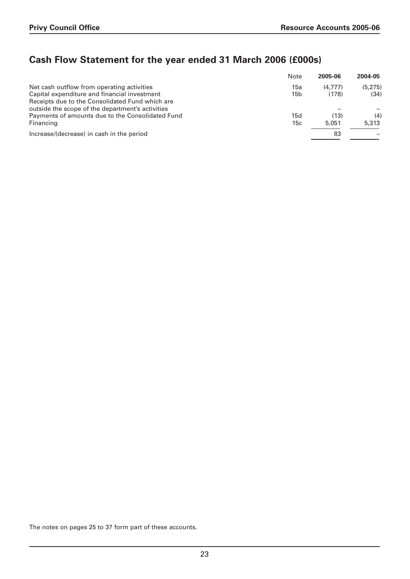# **Cash Flow Statement for the year ended 31 March 2006 (£000s)**

| Note | 2005-06 | 2004-05 |
|------|---------|---------|
| 15a  | (4.777) | (5.275) |
| 15b  | (178)   | (34)    |
|      |         |         |
|      |         |         |
| 15d  | (13)    | (4)     |
| 15c  | 5.051   | 5,313   |
|      | 83      |         |
|      |         |         |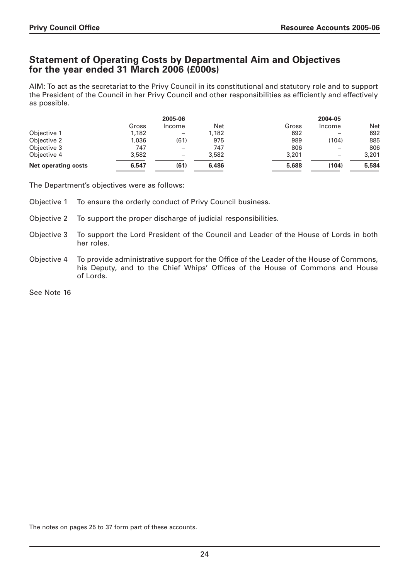# **Statement of Operating Costs by Departmental Aim and Objectives for the year ended 31 March 2006 (£000s)**

AIM: To act as the secretariat to the Privy Council in its constitutional and statutory role and to support the President of the Council in her Privy Council and other responsibilities as efficiently and effectively as possible.

|                            |       | 2005-06                  |       |       | 2004-05 |       |
|----------------------------|-------|--------------------------|-------|-------|---------|-------|
|                            | Gross | Income                   | Net   | Gross | Income  | Net   |
| Objective 1                | 1,182 | $\overline{\phantom{m}}$ | 1,182 | 692   |         | 692   |
| Objective 2                | 1,036 | (61)                     | 975   | 989   | (104)   | 885   |
| Objective 3                | 747   | $\overline{\phantom{m}}$ | 747   | 806   |         | 806   |
| Objective 4                | 3,582 | $\overline{\phantom{0}}$ | 3,582 | 3,201 |         | 3,201 |
| <b>Net operating costs</b> | 6,547 | (61)                     | 6,486 | 5,688 | (104)   | 5,584 |

The Department's objectives were as follows:

- Objective 1 To ensure the orderly conduct of Privy Council business.
- Objective 2 To support the proper discharge of judicial responsibilities.
- Objective 3 To support the Lord President of the Council and Leader of the House of Lords in both her roles.
- Objective 4 To provide administrative support for the Office of the Leader of the House of Commons, his Deputy, and to the Chief Whips' Offices of the House of Commons and House of Lords.

See Note 16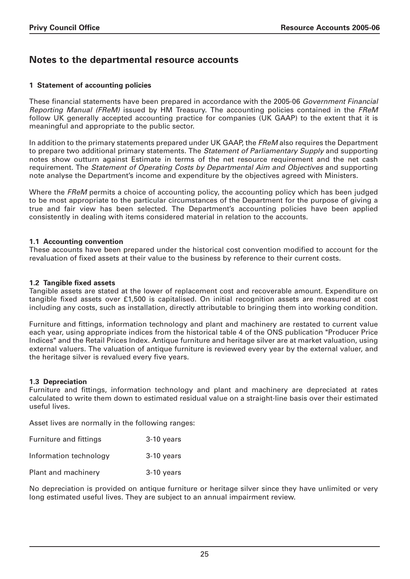# **Notes to the departmental resource accounts**

# **1 Statement of accounting policies**

These financial statements have been prepared in accordance with the 2005-06 Government Financial Reporting Manual (FReM) issued by HM Treasury. The accounting policies contained in the FReM follow UK generally accepted accounting practice for companies (UK GAAP) to the extent that it is meaningful and appropriate to the public sector.

In addition to the primary statements prepared under UK GAAP, the FReM also requires the Department to prepare two additional primary statements. The Statement of Parliamentary Supply and supporting notes show outturn against Estimate in terms of the net resource requirement and the net cash requirement. The Statement of Operating Costs by Departmental Aim and Objectives and supporting note analyse the Department's income and expenditure by the objectives agreed with Ministers.

Where the FReM permits a choice of accounting policy, the accounting policy which has been judged to be most appropriate to the particular circumstances of the Department for the purpose of giving a true and fair view has been selected. The Department's accounting policies have been applied consistently in dealing with items considered material in relation to the accounts.

### **1.1 Accounting convention**

These accounts have been prepared under the historical cost convention modified to account for the revaluation of fixed assets at their value to the business by reference to their current costs.

### **1.2 Tangible fixed assets**

Tangible assets are stated at the lower of replacement cost and recoverable amount. Expenditure on tangible fixed assets over £1,500 is capitalised. On initial recognition assets are measured at cost including any costs, such as installation, directly attributable to bringing them into working condition.

Furniture and fittings, information technology and plant and machinery are restated to current value each year, using appropriate indices from the historical table 4 of the ONS publication "Producer Price Indices" and the Retail Prices Index. Antique furniture and heritage silver are at market valuation, using external valuers. The valuation of antique furniture is reviewed every year by the external valuer, and the heritage silver is revalued every five years.

# **1.3 Depreciation**

Furniture and fittings, information technology and plant and machinery are depreciated at rates calculated to write them down to estimated residual value on a straight-line basis over their estimated useful lives.

Asset lives are normally in the following ranges:

| <b>Furniture and fittings</b> | 3-10 years |
|-------------------------------|------------|
| Information technology        | 3-10 years |
| Plant and machinery           | 3-10 years |

No depreciation is provided on antique furniture or heritage silver since they have unlimited or very long estimated useful lives. They are subject to an annual impairment review.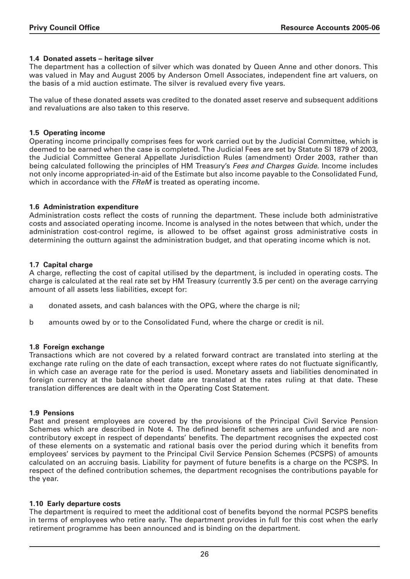### **1.4 Donated assets – heritage silver**

The department has a collection of silver which was donated by Queen Anne and other donors. This was valued in May and August 2005 by Anderson Omell Associates, independent fine art valuers, on the basis of a mid auction estimate. The silver is revalued every five years.

The value of these donated assets was credited to the donated asset reserve and subsequent additions and revaluations are also taken to this reserve.

#### **1.5 Operating income**

Operating income principally comprises fees for work carried out by the Judicial Committee, which is deemed to be earned when the case is completed. The Judicial Fees are set by Statute SI 1879 of 2003, the Judicial Committee General Appellate Jurisdiction Rules (amendment) Order 2003, rather than being calculated following the principles of HM Treasury's Fees and Charges Guide. Income includes not only income appropriated-in-aid of the Estimate but also income payable to the Consolidated Fund, which in accordance with the FReM is treated as operating income.

#### **1.6 Administration expenditure**

Administration costs reflect the costs of running the department. These include both administrative costs and associated operating income. Income is analysed in the notes between that which, under the administration cost-control regime, is allowed to be offset against gross administrative costs in determining the outturn against the administration budget, and that operating income which is not.

#### **1.7 Capital charge**

A charge, reflecting the cost of capital utilised by the department, is included in operating costs. The charge is calculated at the real rate set by HM Treasury (currently 3.5 per cent) on the average carrying amount of all assets less liabilities, except for:

- a donated assets, and cash balances with the OPG, where the charge is nil;
- b amounts owed by or to the Consolidated Fund, where the charge or credit is nil.

#### **1.8 Foreign exchange**

Transactions which are not covered by a related forward contract are translated into sterling at the exchange rate ruling on the date of each transaction, except where rates do not fluctuate significantly, in which case an average rate for the period is used. Monetary assets and liabilities denominated in foreign currency at the balance sheet date are translated at the rates ruling at that date. These translation differences are dealt with in the Operating Cost Statement.

#### **1.9 Pensions**

Past and present employees are covered by the provisions of the Principal Civil Service Pension Schemes which are described in Note 4. The defined benefit schemes are unfunded and are noncontributory except in respect of dependants' benefits. The department recognises the expected cost of these elements on a systematic and rational basis over the period during which it benefits from employees' services by payment to the Principal Civil Service Pension Schemes (PCSPS) of amounts calculated on an accruing basis. Liability for payment of future benefits is a charge on the PCSPS. In respect of the defined contribution schemes, the department recognises the contributions payable for the year.

#### **1.10 Early departure costs**

The department is required to meet the additional cost of benefits beyond the normal PCSPS benefits in terms of employees who retire early. The department provides in full for this cost when the early retirement programme has been announced and is binding on the department.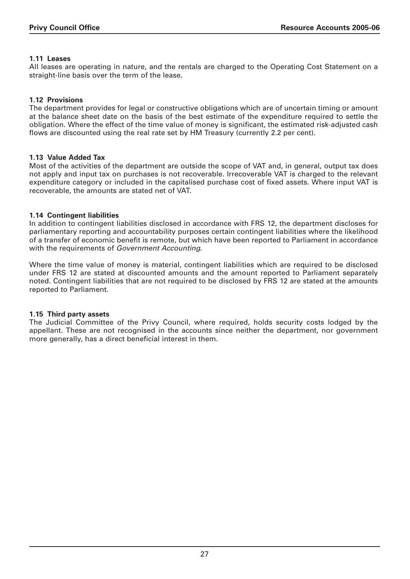# **1.11 Leases**

All leases are operating in nature, and the rentals are charged to the Operating Cost Statement on a straight-line basis over the term of the lease.

# **1.12 Provisions**

The department provides for legal or constructive obligations which are of uncertain timing or amount at the balance sheet date on the basis of the best estimate of the expenditure required to settle the obligation. Where the effect of the time value of money is significant, the estimated risk-adjusted cash flows are discounted using the real rate set by HM Treasury (currently 2.2 per cent).

# **1.13 Value Added Tax**

Most of the activities of the department are outside the scope of VAT and, in general, output tax does not apply and input tax on purchases is not recoverable. Irrecoverable VAT is charged to the relevant expenditure category or included in the capitalised purchase cost of fixed assets. Where input VAT is recoverable, the amounts are stated net of VAT.

# **1.14 Contingent liabilities**

In addition to contingent liabilities disclosed in accordance with FRS 12, the department discloses for parliamentary reporting and accountability purposes certain contingent liabilities where the likelihood of a transfer of economic benefit is remote, but which have been reported to Parliament in accordance with the requirements of Government Accounting.

Where the time value of money is material, contingent liabilities which are required to be disclosed under FRS 12 are stated at discounted amounts and the amount reported to Parliament separately noted. Contingent liabilities that are not required to be disclosed by FRS 12 are stated at the amounts reported to Parliament.

# **1.15 Third party assets**

The Judicial Committee of the Privy Council, where required, holds security costs lodged by the appellant. These are not recognised in the accounts since neither the department, nor government more generally, has a direct beneficial interest in them.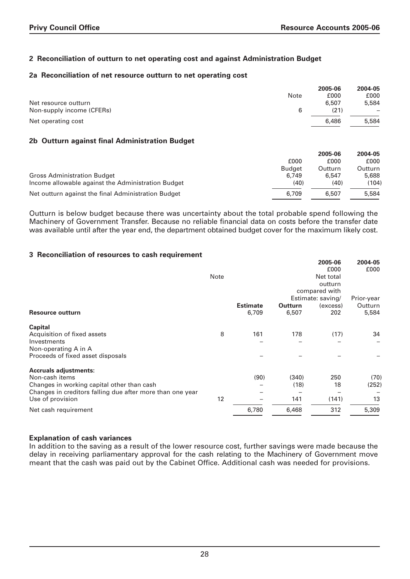# **2 Reconciliation of outturn to net operating cost and against Administration Budget**

#### **2a Reconciliation of net resource outturn to net operating cost**

|                           |      | 2005-06 | 2004-05 |
|---------------------------|------|---------|---------|
|                           | Note | £000    | £000    |
| Net resource outturn      |      | 6,507   | 5,584   |
| Non-supply income (CFERs) | 6    | (21)    |         |
| Net operating cost        |      | 6,486   | 5,584   |
|                           |      |         |         |

### **2b Outturn against final Administration Budget**

|                                                     |               | 2005-06 | 2004-05 |
|-----------------------------------------------------|---------------|---------|---------|
|                                                     | £000          | £000    | £000    |
|                                                     | <b>Budget</b> | Outturn | Outturn |
| <b>Gross Administration Budget</b>                  | 6.749         | 6.547   | 5,688   |
| Income allowable against the Administration Budget  | (40)          | (40)    | (104)   |
| Net outturn against the final Administration Budget | 6,709         | 6.507   | 5,584   |

Outturn is below budget because there was uncertainty about the total probable spend following the Machinery of Government Transfer. Because no reliable financial data on costs before the transfer date was available until after the year end, the department obtained budget cover for the maximum likely cost.

### **3 Reconciliation of resources to cash requirement**

|                                                           |      |                 |         | 2005-06           | 2004-05    |
|-----------------------------------------------------------|------|-----------------|---------|-------------------|------------|
|                                                           |      |                 |         | £000              | £000       |
|                                                           | Note |                 |         | Net total         |            |
|                                                           |      |                 |         | outturn           |            |
|                                                           |      |                 |         | compared with     |            |
|                                                           |      |                 |         | Estimate: saving/ | Prior-year |
|                                                           |      | <b>Estimate</b> | Outturn | (excess)          | Outturn    |
| <b>Resource outturn</b>                                   |      | 6,709           | 6,507   | 202               | 5,584      |
| <b>Capital</b>                                            |      |                 |         |                   |            |
| Acquisition of fixed assets                               | 8    | 161             | 178     | (17)              | 34         |
| Investments                                               |      |                 |         |                   |            |
| Non-operating A in A                                      |      |                 |         |                   |            |
| Proceeds of fixed asset disposals                         |      |                 |         |                   |            |
| <b>Accruals adjustments:</b>                              |      |                 |         |                   |            |
| Non-cash items                                            |      | (90)            | (340)   | 250               | (70)       |
| Changes in working capital other than cash                |      |                 | (18)    | 18                | (252)      |
| Changes in creditors falling due after more than one year |      |                 |         |                   |            |
| Use of provision                                          | 12   |                 | 141     | (141)             | 13         |
| Net cash requirement                                      |      | 6,780           | 6,468   | 312               | 5,309      |

#### **Explanation of cash variances**

In addition to the saving as a result of the lower resource cost, further savings were made because the delay in receiving parliamentary approval for the cash relating to the Machinery of Government move meant that the cash was paid out by the Cabinet Office. Additional cash was needed for provisions.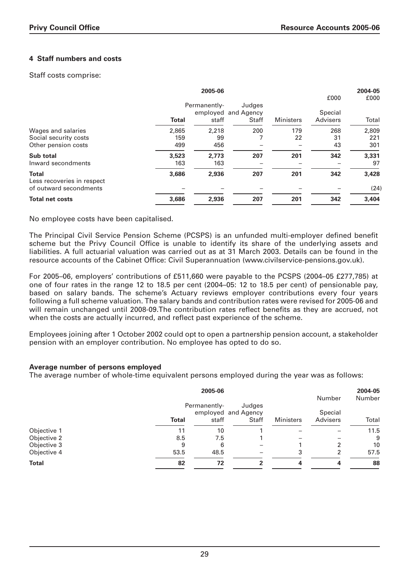# **4 Staff numbers and costs**

Staff costs comprise:

|                                                      |              | 2005-06      |                     |                  |          | 2004-05 |
|------------------------------------------------------|--------------|--------------|---------------------|------------------|----------|---------|
|                                                      |              |              |                     |                  | £000     | £000    |
|                                                      |              | Permanently- | Judges              |                  |          |         |
|                                                      |              |              | employed and Agency |                  | Special  |         |
|                                                      | <b>Total</b> | staff        | <b>Staff</b>        | <b>Ministers</b> | Advisers | Total   |
| Wages and salaries                                   | 2,865        | 2,218        | 200                 | 179              | 268      | 2,809   |
| Social security costs                                | 159          | 99           |                     | 22               | 31       | 221     |
| Other pension costs                                  | 499          | 456          |                     |                  | 43       | 301     |
| Sub total                                            | 3,523        | 2.773        | 207                 | 201              | 342      | 3,331   |
| Inward secondments                                   | 163          | 163          |                     |                  |          | 97      |
| <b>Total</b>                                         | 3,686        | 2,936        | 207                 | 201              | 342      | 3,428   |
| Less recoveries in respect<br>of outward secondments |              |              |                     |                  |          | (24)    |
| <b>Total net costs</b>                               | 3,686        | 2,936        | 207                 | 201              | 342      | 3,404   |

No employee costs have been capitalised.

The Principal Civil Service Pension Scheme (PCSPS) is an unfunded multi-employer defined benefit scheme but the Privy Council Office is unable to identify its share of the underlying assets and liabilities. A full actuarial valuation was carried out as at 31 March 2003. Details can be found in the resource accounts of the Cabinet Office: Civil Superannuation (www.civilservice-pensions.gov.uk).

For 2005–06, employers' contributions of £511,660 were payable to the PCSPS (2004–05 £277,785) at one of four rates in the range 12 to 18.5 per cent (2004–05: 12 to 18.5 per cent) of pensionable pay, based on salary bands. The scheme's Actuary reviews employer contributions every four years following a full scheme valuation. The salary bands and contribution rates were revised for 2005-06 and will remain unchanged until 2008-09.The contribution rates reflect benefits as they are accrued, not when the costs are actually incurred, and reflect past experience of the scheme.

Employees joining after 1 October 2002 could opt to open a partnership pension account, a stakeholder pension with an employer contribution. No employee has opted to do so.

#### **Average number of persons employed**

The average number of whole-time equivalent persons employed during the year was as follows:

|              |              | 2005-06               |                                        |                  | Number              | 2004-05<br>Number |
|--------------|--------------|-----------------------|----------------------------------------|------------------|---------------------|-------------------|
|              | <b>Total</b> | Permanently-<br>staff | Judges<br>employed and Agency<br>Staff | <b>Ministers</b> | Special<br>Advisers | Total             |
|              |              |                       |                                        |                  |                     |                   |
| Objective 1  | 11           | 10                    |                                        |                  |                     | 11.5              |
| Objective 2  | 8.5          | 7.5                   |                                        |                  |                     | 9                 |
| Objective 3  | 9            | 6                     |                                        |                  | 2                   | 10                |
| Objective 4  | 53.5         | 48.5                  | $\overline{\phantom{0}}$               | 3                | 2                   | 57.5              |
| <b>Total</b> | 82           | 72                    |                                        |                  |                     | 88                |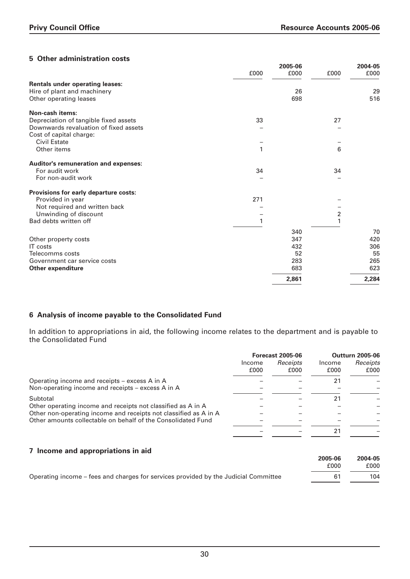# **5 Other administration costs**

| othor administration costs             | £000 | 2005-06<br>£000 | £000             | 2004-05<br>£000 |
|----------------------------------------|------|-----------------|------------------|-----------------|
|                                        |      |                 |                  |                 |
| <b>Rentals under operating leases:</b> |      |                 |                  |                 |
| Hire of plant and machinery            |      | 26<br>698       |                  | 29<br>516       |
| Other operating leases                 |      |                 |                  |                 |
| <b>Non-cash items:</b>                 |      |                 |                  |                 |
| Depreciation of tangible fixed assets  | 33   |                 | 27               |                 |
| Downwards revaluation of fixed assets  |      |                 |                  |                 |
| Cost of capital charge:                |      |                 |                  |                 |
| Civil Estate                           |      |                 |                  |                 |
| Other items                            | 1    |                 | 6                |                 |
| Auditor's remuneration and expenses:   |      |                 |                  |                 |
| For audit work                         | 34   |                 | 34               |                 |
| For non-audit work                     |      |                 |                  |                 |
| Provisions for early departure costs:  |      |                 |                  |                 |
| Provided in year                       | 271  |                 |                  |                 |
| Not required and written back          |      |                 |                  |                 |
| Unwinding of discount                  |      |                 | $\boldsymbol{2}$ |                 |
| Bad debts written off                  |      |                 | 1                |                 |
|                                        |      | 340             |                  | 70              |
| Other property costs                   |      | 347             |                  | 420             |
| <b>IT</b> costs                        |      | 432             |                  | 306             |
| Telecomms costs                        |      | 52              |                  | 55              |
| Government car service costs           |      | 283             |                  | 265             |
| <b>Other expenditure</b>               |      | 683             |                  | 623             |
|                                        |      | 2,861           |                  | 2,284           |

# **6 Analysis of income payable to the Consolidated Fund**

In addition to appropriations in aid, the following income relates to the department and is payable to the Consolidated Fund

|                                                                                                                                  |      | <b>Forecast 2005-06</b><br>Receipts<br>Income |                | <b>Outturn 2005-06</b> |
|----------------------------------------------------------------------------------------------------------------------------------|------|-----------------------------------------------|----------------|------------------------|
|                                                                                                                                  | £000 | £000                                          | Income<br>£000 | Receipts<br>£000       |
| Operating income and receipts – excess A in A<br>Non-operating income and receipts – excess A in A                               |      |                                               | 21             |                        |
| Subtotal                                                                                                                         |      |                                               | 21             |                        |
| Other operating income and receipts not classified as A in A<br>Other non-operating income and receipts not classified as A in A |      |                                               |                |                        |
| Other amounts collectable on behalf of the Consolidated Fund                                                                     |      |                                               |                |                        |
|                                                                                                                                  |      |                                               | 21             |                        |

# **7 Income and appropriations in aid**

|                                                                                     | 2005-06 | 2004-05 |
|-------------------------------------------------------------------------------------|---------|---------|
|                                                                                     | £000    | £000    |
| Operating income – fees and charges for services provided by the Judicial Committee |         | 104     |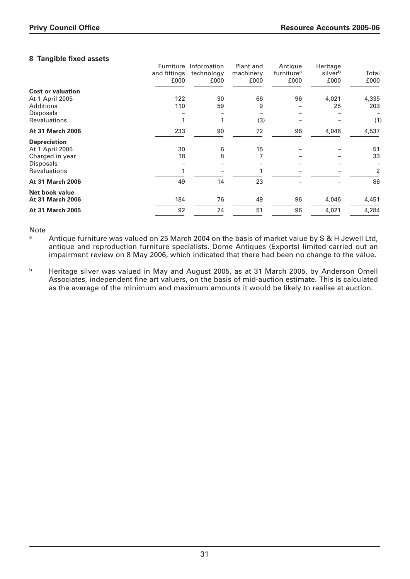# **8 Tangible fixed assets**

| <b>Cost or valuation</b>                  | Furniture<br>and fittings<br>£000 | Information<br>technology<br>£000 | Plant and<br>machinery<br>£000 | Antique<br>furniture <sup>a</sup><br>£000 | Heritage<br>silverb<br>£000 | Total<br>£000 |
|-------------------------------------------|-----------------------------------|-----------------------------------|--------------------------------|-------------------------------------------|-----------------------------|---------------|
| At 1 April 2005                           | 122                               | 30                                | 66                             | 96                                        | 4,021                       | 4,335         |
| <b>Additions</b>                          | 110                               | 59                                | 9                              |                                           | 25                          | 203           |
| <b>Disposals</b><br><b>Revaluations</b>   |                                   |                                   | (3)                            |                                           |                             | (1)           |
| <b>At 31 March 2006</b>                   | 233                               | 90                                | 72                             | 96                                        | 4,046                       | 4,537         |
| <b>Depreciation</b><br>At 1 April 2005    | 30                                | 6                                 | 15                             |                                           |                             | 51            |
| Charged in year                           | 18                                | 8                                 |                                |                                           |                             | 33            |
| <b>Disposals</b>                          |                                   |                                   |                                |                                           |                             |               |
| <b>Revaluations</b>                       |                                   |                                   |                                |                                           |                             | 2             |
| <b>At 31 March 2006</b>                   | 49                                | 14                                | 23                             |                                           |                             | 86            |
| Net book value<br><b>At 31 March 2006</b> | 184                               | 76                                | 49                             | 96                                        | 4,046                       | 4,451         |
| <b>At 31 March 2005</b>                   | 92                                | 24                                | 51                             | 96                                        | 4,021                       | 4,284         |
|                                           |                                   |                                   |                                |                                           |                             |               |

Note

Antique furniture was valued on 25 March 2004 on the basis of market value by S & H Jewell Ltd, antique and reproduction furniture specialists. Dome Antiques (Exports) limited carried out an impairment review on 8 May 2006, which indicated that there had been no change to the value.

b Heritage silver was valued in May and August 2005, as at 31 March 2005, by Anderson Omell Associates, independent fine art valuers, on the basis of mid-auction estimate. This is calculated as the average of the minimum and maximum amounts it would be likely to realise at auction.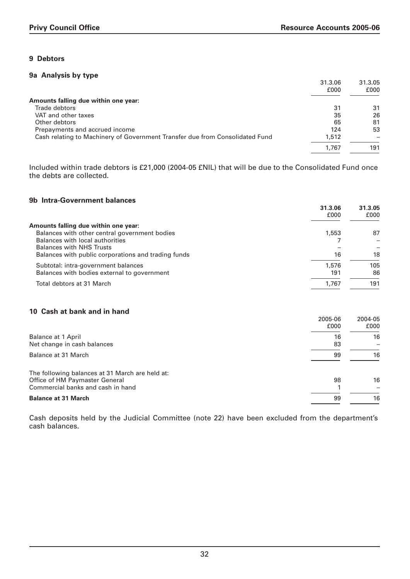# **9 Debtors**

#### **9a Analysis by type**

|                                                                              | 31.3.06<br>£000 | 31.3.05<br>£000 |
|------------------------------------------------------------------------------|-----------------|-----------------|
| Amounts falling due within one year:                                         |                 |                 |
| Trade debtors                                                                | 31              | 31              |
| VAT and other taxes                                                          | 35              | 26              |
| Other debtors                                                                | 65              | 81              |
| Prepayments and accrued income                                               | 124             | 53              |
| Cash relating to Machinery of Government Transfer due from Consolidated Fund | 1,512           |                 |
|                                                                              | 1.767           | 191             |

Included within trade debtors is £21,000 (2004-05 £NIL) that will be due to the Consolidated Fund once the debts are collected.

#### **9b Intra-Government balances**

| VM THER GOVERNMENTE MANHOUS                         | 31.3.06<br>£000 | 31.3.05<br>£000 |
|-----------------------------------------------------|-----------------|-----------------|
| Amounts falling due within one year:                |                 |                 |
| Balances with other central government bodies       | 1,553           | 87              |
| Balances with local authorities                     |                 |                 |
| <b>Balances with NHS Trusts</b>                     |                 |                 |
| Balances with public corporations and trading funds | 16              | 18              |
| Subtotal: intra-government balances                 | 1,576           | 105             |
| Balances with bodies external to government         | 191             | 86              |
| Total debtors at 31 March                           | 1.767           | 191             |
|                                                     |                 |                 |

#### **10 Cash at bank and in hand**

|                                                                                                                        | 2005-06<br>£000 | 2004-05<br>£000 |
|------------------------------------------------------------------------------------------------------------------------|-----------------|-----------------|
| <b>Balance at 1 April</b><br>Net change in cash balances                                                               | 16<br>83        | 16              |
| Balance at 31 March                                                                                                    | 99              | 16              |
| The following balances at 31 March are held at:<br>Office of HM Paymaster General<br>Commercial banks and cash in hand | 98              | 16              |
| <b>Balance at 31 March</b>                                                                                             | 99              | 16              |

Cash deposits held by the Judicial Committee (note 22) have been excluded from the department's cash balances.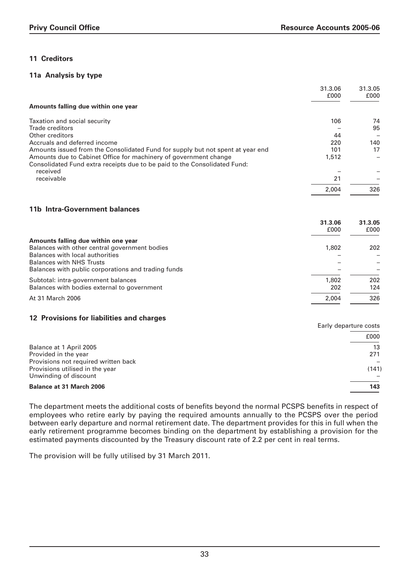## **11 Creditors**

#### **11a Analysis by type**

|                                                                                | 31.3.06<br>£000 | 31.3.05<br>£000          |
|--------------------------------------------------------------------------------|-----------------|--------------------------|
| Amounts falling due within one year                                            |                 |                          |
| Taxation and social security                                                   | 106             | 74                       |
| Trade creditors                                                                |                 | 95                       |
| Other creditors                                                                | 44              | $\overline{\phantom{0}}$ |
| Accruals and deferred income                                                   | 220             | 140                      |
| Amounts issued from the Consolidated Fund for supply but not spent at year end | 101             | 17                       |
| Amounts due to Cabinet Office for machinery of government change               | 1,512           | $\overline{\phantom{0}}$ |
| Consolidated Fund extra receipts due to be paid to the Consolidated Fund:      |                 |                          |
| received                                                                       |                 |                          |
| receivable                                                                     | 21              |                          |
|                                                                                | 2.004           | 326                      |
|                                                                                |                 |                          |

# **11b Intra-Government balances**

|                                                     | 31.3.06<br>£000 | 31.3.05<br>£000 |
|-----------------------------------------------------|-----------------|-----------------|
| Amounts falling due within one year                 |                 |                 |
| Balances with other central government bodies       | 1,802           | 202             |
| Balances with local authorities                     |                 |                 |
| <b>Balances with NHS Trusts</b>                     |                 |                 |
| Balances with public corporations and trading funds |                 |                 |
| Subtotal: intra-government balances                 | 1,802           | 202             |
| Balances with bodies external to government         | 202             | 124             |
| At 31 March 2006                                    | 2.004           | 326             |

#### **12 Provisions for liabilities and charges**

|                                      | Early departure costs |  |
|--------------------------------------|-----------------------|--|
|                                      | £000                  |  |
| Balance at 1 April 2005              | 13                    |  |
| Provided in the year                 | 271                   |  |
| Provisions not required written back |                       |  |
| Provisions utilised in the year      | (141)                 |  |
| Unwinding of discount                |                       |  |
| <b>Balance at 31 March 2006</b>      | 143                   |  |
|                                      |                       |  |

The department meets the additional costs of benefits beyond the normal PCSPS benefits in respect of employees who retire early by paying the required amounts annually to the PCSPS over the period between early departure and normal retirement date. The department provides for this in full when the early retirement programme becomes binding on the department by establishing a provision for the estimated payments discounted by the Treasury discount rate of 2.2 per cent in real terms.

The provision will be fully utilised by 31 March 2011.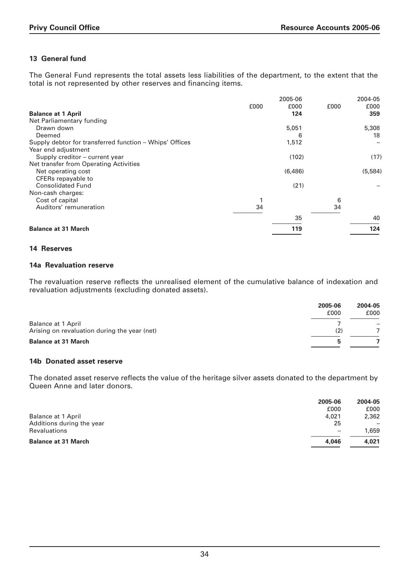# **13 General fund**

The General Fund represents the total assets less liabilities of the department, to the extent that the total is not represented by other reserves and financing items.

|                                                         |      | 2005-06 |      | 2004-05 |
|---------------------------------------------------------|------|---------|------|---------|
|                                                         | £000 | £000    | £000 | £000    |
| <b>Balance at 1 April</b>                               |      | 124     |      | 359     |
| Net Parliamentary funding                               |      |         |      |         |
| Drawn down                                              |      | 5,051   |      | 5,308   |
| Deemed                                                  |      | 6       |      | 18      |
| Supply debtor for transferred function – Whips' Offices |      | 1,512   |      |         |
| Year end adjustment                                     |      |         |      |         |
| Supply creditor – current year                          |      | (102)   |      | (17)    |
| Net transfer from Operating Activities                  |      |         |      |         |
| Net operating cost                                      |      | (6,486) |      | (5,584) |
| CFERs repayable to                                      |      |         |      |         |
| <b>Consolidated Fund</b>                                |      | (21)    |      |         |
| Non-cash charges:                                       |      |         |      |         |
| Cost of capital                                         |      |         | 6    |         |
| Auditors' remuneration                                  | 34   |         | 34   |         |
|                                                         |      | 35      |      | 40      |
| <b>Balance at 31 March</b>                              |      | 119     |      | 124     |

### **14 Reserves**

### **14a Revaluation reserve**

The revaluation reserve reflects the unrealised element of the cumulative balance of indexation and revaluation adjustments (excluding donated assets).

|                                              | 2005-06<br>£000 | 2004-05<br>£000 |
|----------------------------------------------|-----------------|-----------------|
| <b>Balance at 1 April</b>                    |                 |                 |
| Arising on revaluation during the year (net) | (2)             |                 |
| <b>Balance at 31 March</b>                   |                 |                 |

#### **14b Donated asset reserve**

The donated asset reserve reflects the value of the heritage silver assets donated to the department by Queen Anne and later donors.

| 2005-06                  | 2004-05 |
|--------------------------|---------|
| £000                     | £000    |
| 4,021                    | 2,362   |
| 25                       |         |
| $\overline{\phantom{0}}$ | 1,659   |
| 4.046                    | 4.021   |
|                          |         |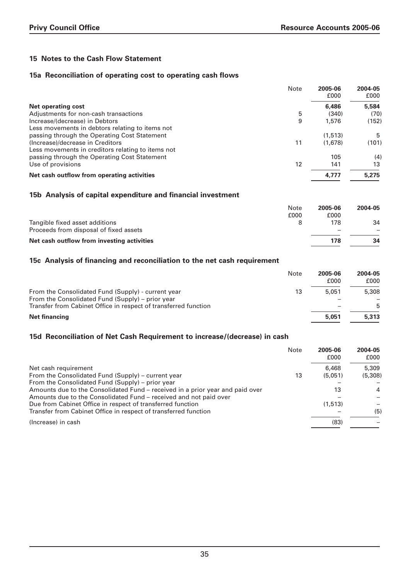# **15 Notes to the Cash Flow Statement**

### **15a Reconciliation of operating cost to operating cash flows**

|                                                   | Note | 2005-06<br>£000 | 2004-05<br>£000 |
|---------------------------------------------------|------|-----------------|-----------------|
| <b>Net operating cost</b>                         |      | 6,486           | 5,584           |
| Adjustments for non-cash transactions             | 5    | (340)           | (70)            |
| Increase/(decrease) in Debtors                    | 9    | 1,576           | (152)           |
| Less movements in debtors relating to items not   |      |                 |                 |
| passing through the Operating Cost Statement      |      | (1,513)         | 5               |
| (Increase)/decrease in Creditors                  | 11   | (1.678)         | (101)           |
| Less movements in creditors relating to items not |      |                 |                 |
| passing through the Operating Cost Statement      |      | 105             | (4)             |
| Use of provisions                                 | 12   | 141             | 13              |
| Net cash outflow from operating activities        |      | 4.777           | 5,275           |

#### **15b Analysis of capital expenditure and financial investment**

|                                            | Note<br>£000 | 2005-06<br>£000 | 2004-05 |
|--------------------------------------------|--------------|-----------------|---------|
| Tangible fixed asset additions             |              | 178             | 34      |
| Proceeds from disposal of fixed assets     |              |                 |         |
| Net cash outflow from investing activities |              | 178             | 34      |

### **15c Analysis of financing and reconciliation to the net cash requirement**

|                                                                                                                     | Note | 2005-06<br>£000 | 2004-05<br>£000 |
|---------------------------------------------------------------------------------------------------------------------|------|-----------------|-----------------|
| From the Consolidated Fund (Supply) - current year                                                                  | 13   | 5.051           | 5,308           |
| From the Consolidated Fund (Supply) – prior year<br>Transfer from Cabinet Office in respect of transferred function |      |                 | 5               |
| <b>Net financing</b>                                                                                                |      | 5.051           | 5,313           |

#### **15d Reconciliation of Net Cash Requirement to increase/(decrease) in cash**

|                                                                               | Note | 2005-06<br>£000 | 2004-05<br>£000 |
|-------------------------------------------------------------------------------|------|-----------------|-----------------|
| Net cash requirement                                                          |      | 6,468           | 5,309           |
| From the Consolidated Fund (Supply) - current year                            | 13   | (5.051)         | (5,308)         |
| From the Consolidated Fund (Supply) – prior year                              |      |                 |                 |
| Amounts due to the Consolidated Fund – received in a prior year and paid over |      | 13              | $\overline{4}$  |
| Amounts due to the Consolidated Fund - received and not paid over             |      |                 |                 |
| Due from Cabinet Office in respect of transferred function                    |      | (1,513)         |                 |
| Transfer from Cabinet Office in respect of transferred function               |      |                 | (5)             |
| (Increase) in cash                                                            |      | (83)            |                 |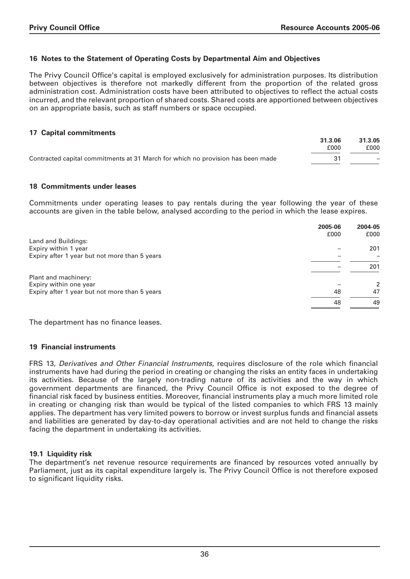### **16 Notes to the Statement of Operating Costs by Departmental Aim and Objectives**

The Privy Council Office's capital is employed exclusively for administration purposes. Its distribution between objectives is therefore not markedly different from the proportion of the related gross administration cost. Administration costs have been attributed to objectives to reflect the actual costs incurred, and the relevant proportion of shared costs. Shared costs are apportioned between objectives on an appropriate basis, such as staff numbers or space occupied.

### **17 Capital commitments**

|                                                                                 | 31.3.06 | 31.3.05                  |
|---------------------------------------------------------------------------------|---------|--------------------------|
|                                                                                 | £000    | £000                     |
| Contracted capital commitments at 31 March for which no provision has been made |         | $\overline{\phantom{0}}$ |
|                                                                                 |         |                          |

#### **18 Commitments under leases**

Commitments under operating leases to pay rentals during the year following the year of these accounts are given in the table below, analysed according to the period in which the lease expires.

|                                               | 2005-06 | 2004-05       |
|-----------------------------------------------|---------|---------------|
|                                               | £000    | £000          |
| Land and Buildings:                           |         |               |
| Expiry within 1 year                          |         | 201           |
| Expiry after 1 year but not more than 5 years |         |               |
|                                               |         | 201           |
| Plant and machinery:                          |         |               |
| Expiry within one year                        |         | $\mathcal{P}$ |
| Expiry after 1 year but not more than 5 years | 48      | 47            |
|                                               | 48      | 49            |

The department has no finance leases.

#### **19 Financial instruments**

FRS 13, Derivatives and Other Financial Instruments, requires disclosure of the role which financial instruments have had during the period in creating or changing the risks an entity faces in undertaking its activities. Because of the largely non-trading nature of its activities and the way in which government departments are financed, the Privy Council Office is not exposed to the degree of financial risk faced by business entities. Moreover, financial instruments play a much more limited role in creating or changing risk than would be typical of the listed companies to which FRS 13 mainly applies. The department has very limited powers to borrow or invest surplus funds and financial assets and liabilities are generated by day-to-day operational activities and are not held to change the risks facing the department in undertaking its activities.

#### **19.1 Liquidity risk**

The department's net revenue resource requirements are financed by resources voted annually by Parliament, just as its capital expenditure largely is. The Privy Council Office is not therefore exposed to significant liquidity risks.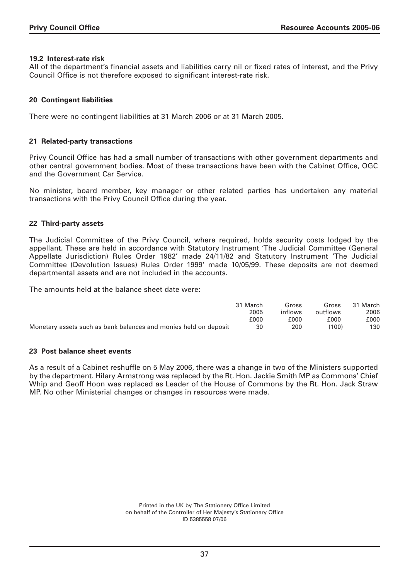#### **19.2 Interest-rate risk**

All of the department's financial assets and liabilities carry nil or fixed rates of interest, and the Privy Council Office is not therefore exposed to significant interest-rate risk.

### **20 Contingent liabilities**

There were no contingent liabilities at 31 March 2006 or at 31 March 2005.

#### **21 Related-party transactions**

Privy Council Office has had a small number of transactions with other government departments and other central government bodies. Most of these transactions have been with the Cabinet Office, OGC and the Government Car Service.

No minister, board member, key manager or other related parties has undertaken any material transactions with the Privy Council Office during the year.

#### **22 Third-party assets**

The Judicial Committee of the Privy Council, where required, holds security costs lodged by the appellant. These are held in accordance with Statutory Instrument 'The Judicial Committee (General Appellate Jurisdiction) Rules Order 1982' made 24/11/82 and Statutory Instrument 'The Judicial Committee (Devolution Issues) Rules Order 1999' made 10/05/99. These deposits are not deemed departmental assets and are not included in the accounts.

The amounts held at the balance sheet date were:

|                                                                  | 31 March | Gross   | Gross    | 31 March |
|------------------------------------------------------------------|----------|---------|----------|----------|
|                                                                  | 2005     | inflows | outflows | 2006     |
|                                                                  | £000     | £000    | £000     | £000     |
| Monetary assets such as bank balances and monies held on deposit | 30       | 200     | (100)    | 130      |

#### **23 Post balance sheet events**

As a result of a Cabinet reshuffle on 5 May 2006, there was a change in two of the Ministers supported by the department. Hilary Armstrong was replaced by the Rt. Hon. Jackie Smith MP as Commons' Chief Whip and Geoff Hoon was replaced as Leader of the House of Commons by the Rt. Hon. Jack Straw MP. No other Ministerial changes or changes in resources were made.

> Printed in the UK by The Stationery Office Limited on behalf of the Controller of Her Majesty's Stationery Office ID 5385558 07/06